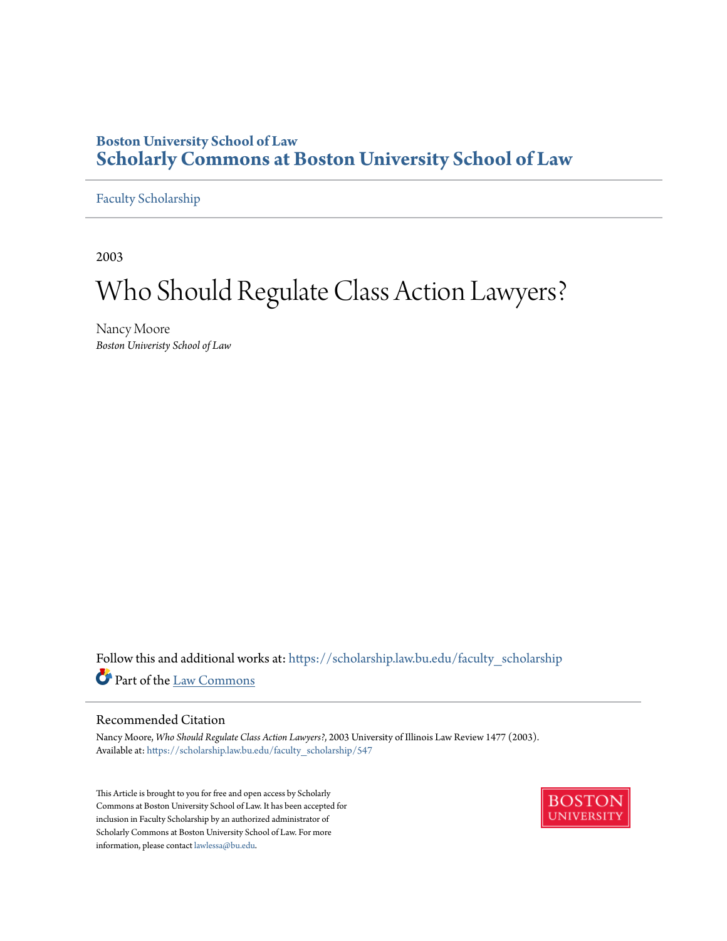### **Boston University School of Law [Scholarly Commons at Boston University School of Law](https://scholarship.law.bu.edu?utm_source=scholarship.law.bu.edu%2Ffaculty_scholarship%2F547&utm_medium=PDF&utm_campaign=PDFCoverPages)**

[Faculty Scholarship](https://scholarship.law.bu.edu/faculty_scholarship?utm_source=scholarship.law.bu.edu%2Ffaculty_scholarship%2F547&utm_medium=PDF&utm_campaign=PDFCoverPages)

2003

# Who Should Regulate Class Action Lawyers?

Nancy Moore *Boston Univeristy School of Law*

Follow this and additional works at: [https://scholarship.law.bu.edu/faculty\\_scholarship](https://scholarship.law.bu.edu/faculty_scholarship?utm_source=scholarship.law.bu.edu%2Ffaculty_scholarship%2F547&utm_medium=PDF&utm_campaign=PDFCoverPages) Part of the [Law Commons](http://network.bepress.com/hgg/discipline/578?utm_source=scholarship.law.bu.edu%2Ffaculty_scholarship%2F547&utm_medium=PDF&utm_campaign=PDFCoverPages)

#### Recommended Citation

Nancy Moore, *Who Should Regulate Class Action Lawyers?*, 2003 University of Illinois Law Review 1477 (2003). Available at: [https://scholarship.law.bu.edu/faculty\\_scholarship/547](https://scholarship.law.bu.edu/faculty_scholarship/547?utm_source=scholarship.law.bu.edu%2Ffaculty_scholarship%2F547&utm_medium=PDF&utm_campaign=PDFCoverPages)

This Article is brought to you for free and open access by Scholarly Commons at Boston University School of Law. It has been accepted for inclusion in Faculty Scholarship by an authorized administrator of Scholarly Commons at Boston University School of Law. For more information, please contact [lawlessa@bu.edu.](mailto:lawlessa@bu.edu)

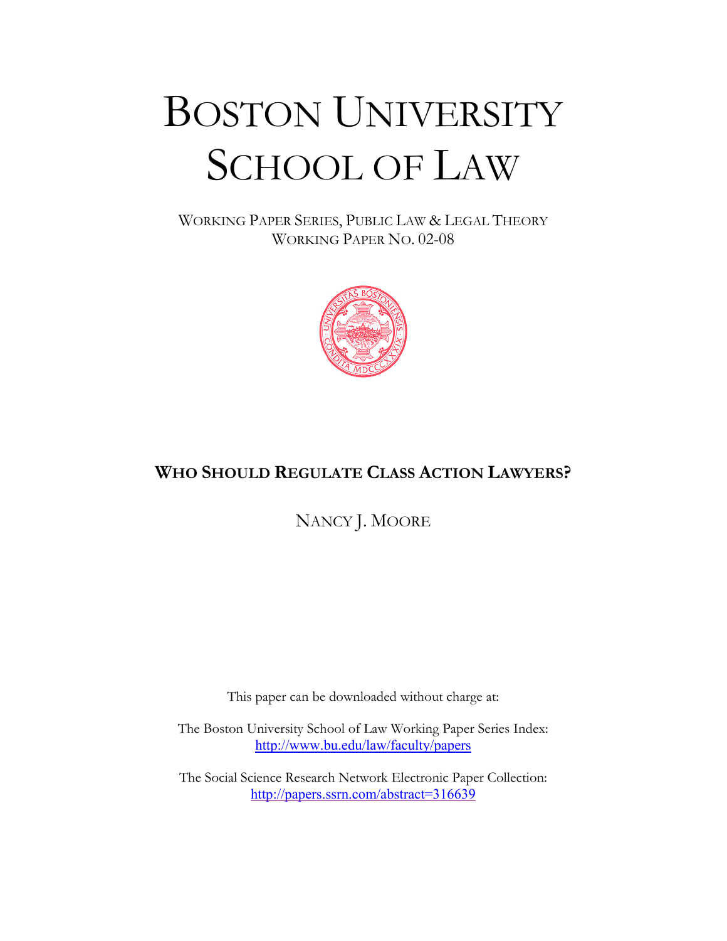# BOSTON UNIVERSITY SCHOOL OF LAW

WORKING PAPER SERIES, PUBLIC LAW & LEGAL THEORY WORKING PAPER NO. 02-08



## **WHO SHOULD REGULATE CLASS ACTION LAWYERS?**

NANCY J. MOORE

This paper can be downloaded without charge at:

The Boston University School of Law Working Paper Series Index: http://www.bu.edu/law/faculty/papers

The Social Science Research Network Electronic Paper Collection: <http://papers.ssrn.com/abstract=316639>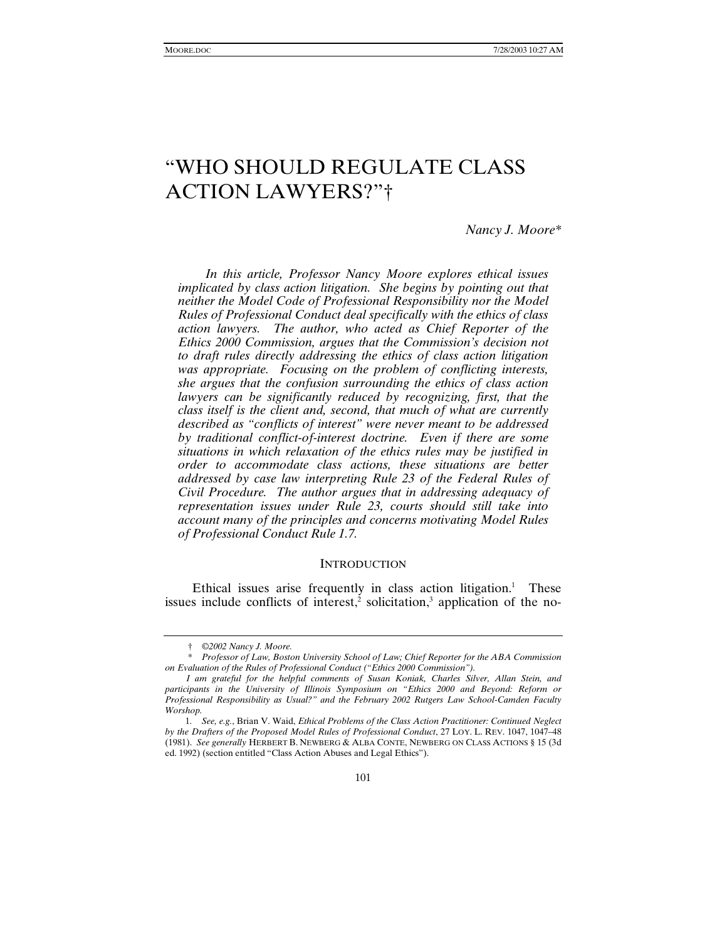*Nancy J. Moore\** 

*In this article, Professor Nancy Moore explores ethical issues implicated by class action litigation. She begins by pointing out that neither the Model Code of Professional Responsibility nor the Model Rules of Professional Conduct deal specifically with the ethics of class action lawyers. The author, who acted as Chief Reporter of the Ethics 2000 Commission, argues that the Commission's decision not to draft rules directly addressing the ethics of class action litigation was appropriate. Focusing on the problem of conflicting interests, she argues that the confusion surrounding the ethics of class action lawyers can be significantly reduced by recognizing, first, that the class itself is the client and, second, that much of what are currently described as "conflicts of interest" were never meant to be addressed by traditional conflict-of-interest doctrine. Even if there are some situations in which relaxation of the ethics rules may be justified in order to accommodate class actions, these situations are better addressed by case law interpreting Rule 23 of the Federal Rules of Civil Procedure. The author argues that in addressing adequacy of representation issues under Rule 23, courts should still take into account many of the principles and concerns motivating Model Rules of Professional Conduct Rule 1.7.* 

#### **INTRODUCTION**

Ethical issues arise frequently in class action litigation.<sup>1</sup> These issues include conflicts of interest,<sup>2</sup> solicitation,<sup>3</sup> application of the no-

 <sup>†</sup> *©2002 Nancy J. Moore.*

 <sup>\*</sup> *Professor of Law, Boston University School of Law; Chief Reporter for the ABA Commission on Evaluation of the Rules of Professional Conduct ("Ethics 2000 Commission").* 

*I am grateful for the helpful comments of Susan Koniak, Charles Silver, Allan Stein, and*  participants in the University of Illinois Symposium on "Ethics 2000 and Beyond: Reform or *Professional Responsibility as Usual?" and the February 2002 Rutgers Law School-Camden Faculty Worshop.*

<sup>1</sup>*. See, e.g.*, Brian V. Waid, *Ethical Problems of the Class Action Practitioner: Continued Neglect by the Drafters of the Proposed Model Rules of Professional Conduct*, 27 LOY. L. REV. 1047, 1047–48 (1981). *See generally* HERBERT B. NEWBERG & ALBA CONTE, NEWBERG ON CLASS ACTIONS § 15 (3d ed. 1992) (section entitled "Class Action Abuses and Legal Ethics").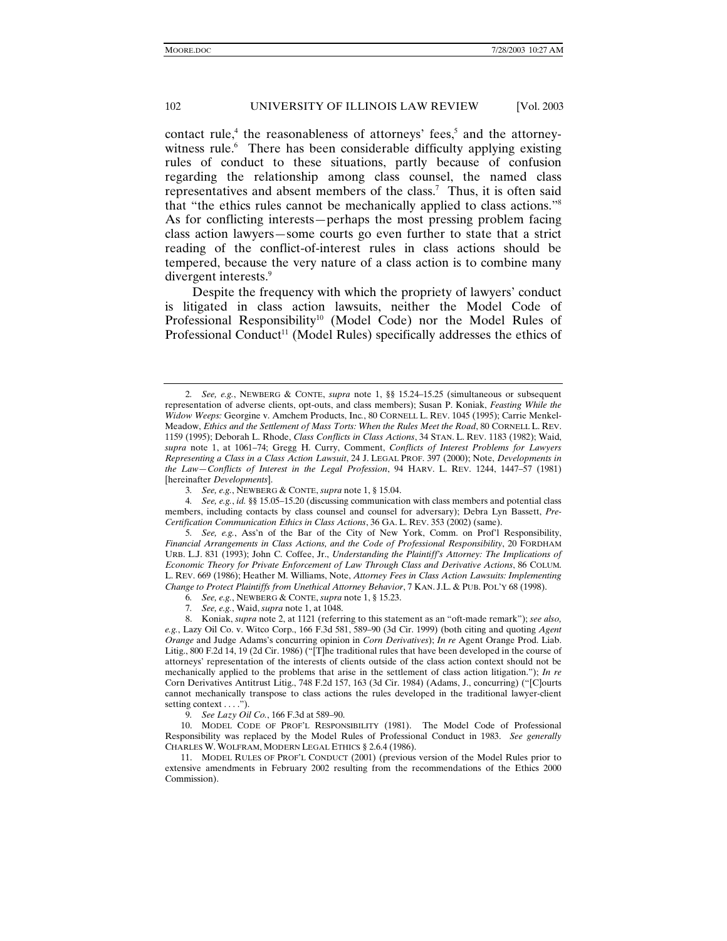contact rule,<sup>4</sup> the reasonableness of attorneys' fees,<sup>5</sup> and the attorneywitness rule.<sup>6</sup> There has been considerable difficulty applying existing rules of conduct to these situations, partly because of confusion regarding the relationship among class counsel, the named class representatives and absent members of the class.<sup>7</sup> Thus, it is often said that "the ethics rules cannot be mechanically applied to class actions."8 As for conflicting interests—perhaps the most pressing problem facing class action lawyers—some courts go even further to state that a strict reading of the conflict-of-interest rules in class actions should be tempered, because the very nature of a class action is to combine many divergent interests.<sup>9</sup>

Despite the frequency with which the propriety of lawyers' conduct is litigated in class action lawsuits, neither the Model Code of Professional Responsibility<sup>10</sup> (Model Code) nor the Model Rules of Professional Conduct<sup>11</sup> (Model Rules) specifically addresses the ethics of

6*. See, e.g.*, NEWBERG & CONTE, *supra* note 1, § 15.23.

7*. See, e.g.*, Waid, *supra* note 1, at 1048.

 8. Koniak, *supra* note 2, at 1121 (referring to this statement as an "oft-made remark"); *see also, e.g.*, Lazy Oil Co. v. Witco Corp., 166 F.3d 581, 589–90 (3d Cir. 1999) (both citing and quoting *Agent Orange* and Judge Adams's concurring opinion in *Corn Derivatives*); *In re* Agent Orange Prod. Liab. Litig., 800 F.2d 14, 19 (2d Cir. 1986) ("[T]he traditional rules that have been developed in the course of attorneys' representation of the interests of clients outside of the class action context should not be mechanically applied to the problems that arise in the settlement of class action litigation."); *In re* Corn Derivatives Antitrust Litig., 748 F.2d 157, 163 (3d Cir. 1984) (Adams, J., concurring) ("[C]ourts cannot mechanically transpose to class actions the rules developed in the traditional lawyer-client setting context . . . .").

9*. See Lazy Oil Co.*, 166 F.3d at 589–90.

 10. MODEL CODE OF PROF'L RESPONSIBILITY (1981). The Model Code of Professional Responsibility was replaced by the Model Rules of Professional Conduct in 1983. *See generally* CHARLES W. WOLFRAM, MODERN LEGAL ETHICS § 2.6.4 (1986).

 11. MODEL RULES OF PROF'L CONDUCT (2001) (previous version of the Model Rules prior to extensive amendments in February 2002 resulting from the recommendations of the Ethics 2000 Commission).

<sup>2</sup>*. See, e.g.*, NEWBERG & CONTE, *supra* note 1, §§ 15.24–15.25 (simultaneous or subsequent representation of adverse clients, opt-outs, and class members); Susan P. Koniak, *Feasting While the Widow Weeps:* Georgine v. Amchem Products, Inc*.*, 80 CORNELL L. REV. 1045 (1995); Carrie Menkel-Meadow, *Ethics and the Settlement of Mass Torts: When the Rules Meet the Road*, 80 CORNELL L. REV. 1159 (1995); Deborah L. Rhode, *Class Conflicts in Class Actions*, 34 STAN. L. REV. 1183 (1982); Waid, *supra* note 1, at 1061–74; Gregg H. Curry, Comment, *Conflicts of Interest Problems for Lawyers Representing a Class in a Class Action Lawsuit*, 24 J. LEGAL PROF. 397 (2000); Note, *Developments in the Law—Conflicts of Interest in the Legal Profession*, 94 HARV. L. REV. 1244, 1447–57 (1981) [hereinafter *Developments*].

<sup>3</sup>*. See, e.g.*, NEWBERG & CONTE, *supra* note 1, § 15.04.

<sup>4</sup>*. See, e.g.*, *id.* §§ 15.05–15.20 (discussing communication with class members and potential class members, including contacts by class counsel and counsel for adversary); Debra Lyn Bassett, *Pre-Certification Communication Ethics in Class Actions*, 36 GA. L. REV. 353 (2002) (same).

<sup>5</sup>*. See, e.g.*, Ass'n of the Bar of the City of New York, Comm. on Prof'l Responsibility, *Financial Arrangements in Class Actions, and the Code of Professional Responsibility*, 20 FORDHAM URB. L.J. 831 (1993); John C. Coffee, Jr., *Understanding the Plaintiff's Attorney: The Implications of Economic Theory for Private Enforcement of Law Through Class and Derivative Actions*, 86 COLUM. L. REV. 669 (1986); Heather M. Williams, Note, *Attorney Fees in Class Action Lawsuits: Implementing Change to Protect Plaintiffs from Unethical Attorney Behavior*, 7 KAN. J.L. & PUB. POL'Y 68 (1998).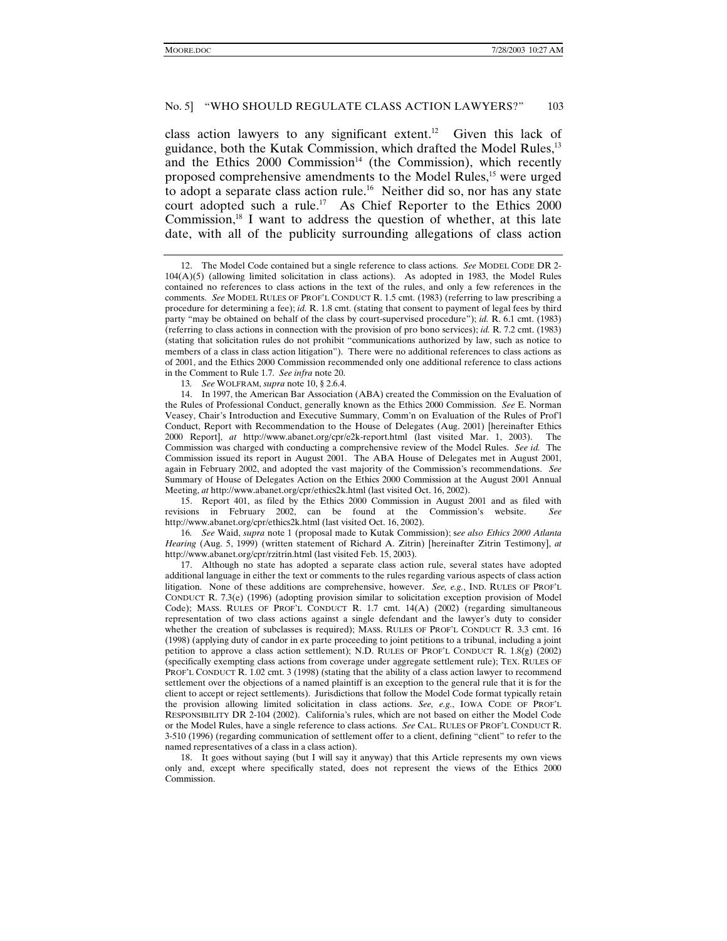class action lawyers to any significant extent.<sup>12</sup> Given this lack of guidance, both the Kutak Commission, which drafted the Model Rules,<sup>13</sup> and the Ethics  $2000$  Commission<sup>14</sup> (the Commission), which recently proposed comprehensive amendments to the Model Rules,<sup>15</sup> were urged to adopt a separate class action rule.<sup>16</sup> Neither did so, nor has any state court adopted such a rule.17 As Chief Reporter to the Ethics 2000 Commission, $18$  I want to address the question of whether, at this late date, with all of the publicity surrounding allegations of class action

13*. See* WOLFRAM, *supra* note 10, § 2.6.4.

 14. In 1997, the American Bar Association (ABA) created the Commission on the Evaluation of the Rules of Professional Conduct, generally known as the Ethics 2000 Commission. *See* E. Norman Veasey, Chair's Introduction and Executive Summary, Comm'n on Evaluation of the Rules of Prof'l Conduct, Report with Recommendation to the House of Delegates (Aug. 2001) [hereinafter Ethics 2000 Report], *at* http://www.abanet.org/cpr/e2k-report.html (last visited Mar. 1, 2003). The Commission was charged with conducting a comprehensive review of the Model Rules. *See id.* The Commission issued its report in August 2001. The ABA House of Delegates met in August 2001, again in February 2002, and adopted the vast majority of the Commission's recommendations. *See* Summary of House of Delegates Action on the Ethics 2000 Commission at the August 2001 Annual Meeting, *at* http://www.abanet.org/cpr/ethics2k.html (last visited Oct. 16, 2002).

 15. Report 401, as filed by the Ethics 2000 Commission in August 2001 and as filed with revisions in February 2002, can be found at the Commission's website. *See* http://www.abanet.org/cpr/ethics2k.html (last visited Oct. 16, 2002).

16*. See* Waid, *supra* note 1 (proposal made to Kutak Commission); s*ee also Ethics 2000 Atlanta Hearing* (Aug. 5, 1999) (written statement of Richard A. Zitrin) [hereinafter Zitrin Testimony], *at*  http://www.abanet.org/cpr/rzitrin.html (last visited Feb. 15, 2003).

 17. Although no state has adopted a separate class action rule, several states have adopted additional language in either the text or comments to the rules regarding various aspects of class action litigation. None of these additions are comprehensive, however. *See, e.g.*, IND. RULES OF PROF'L CONDUCT R. 7.3(e) (1996) (adopting provision similar to solicitation exception provision of Model Code); MASS. RULES OF PROF'L CONDUCT R. 1.7 cmt. 14(A) (2002) (regarding simultaneous representation of two class actions against a single defendant and the lawyer's duty to consider whether the creation of subclasses is required); MASS. RULES OF PROF'L CONDUCT R. 3.3 cmt. 16 (1998) (applying duty of candor in ex parte proceeding to joint petitions to a tribunal, including a joint petition to approve a class action settlement); N.D. RULES OF PROF'L CONDUCT R. 1.8(g) (2002) (specifically exempting class actions from coverage under aggregate settlement rule); TEX. RULES OF PROF'L CONDUCT R. 1.02 cmt. 3 (1998) (stating that the ability of a class action lawyer to recommend settlement over the objections of a named plaintiff is an exception to the general rule that it is for the client to accept or reject settlements). Jurisdictions that follow the Model Code format typically retain the provision allowing limited solicitation in class actions. *See, e.g.*, IOWA CODE OF PROF'L RESPONSIBILITY DR 2-104 (2002). California's rules, which are not based on either the Model Code or the Model Rules, have a single reference to class actions. *See* CAL. RULES OF PROF'L CONDUCT R. 3-510 (1996) (regarding communication of settlement offer to a client, defining "client" to refer to the named representatives of a class in a class action).

 18. It goes without saying (but I will say it anyway) that this Article represents my own views only and, except where specifically stated, does not represent the views of the Ethics 2000 Commission.

 <sup>12.</sup> The Model Code contained but a single reference to class actions. *See* MODEL CODE DR 2- 104(A)(5) (allowing limited solicitation in class actions). As adopted in 1983, the Model Rules contained no references to class actions in the text of the rules, and only a few references in the comments. *See* MODEL RULES OF PROF'L CONDUCT R. 1.5 cmt. (1983) (referring to law prescribing a procedure for determining a fee); *id.* R. 1.8 cmt. (stating that consent to payment of legal fees by third party "may be obtained on behalf of the class by court-supervised procedure"); *id.* R. 6.1 cmt. (1983) (referring to class actions in connection with the provision of pro bono services); *id.* R. 7.2 cmt. (1983) (stating that solicitation rules do not prohibit "communications authorized by law, such as notice to members of a class in class action litigation"). There were no additional references to class actions as of 2001, and the Ethics 2000 Commission recommended only one additional reference to class actions in the Comment to Rule 1.7. *See infra* note 20.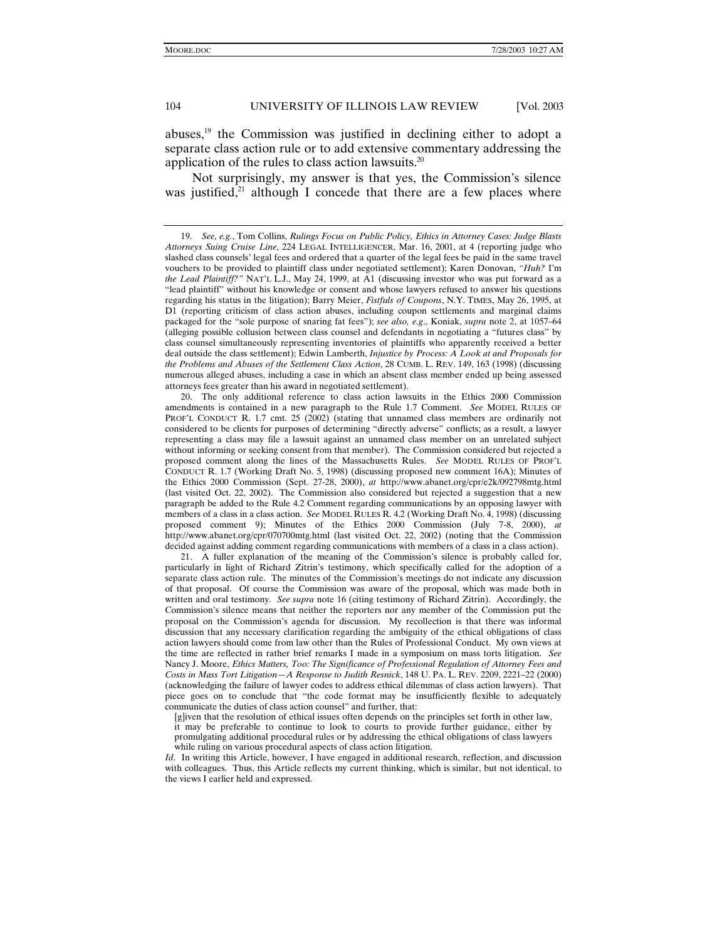abuses,19 the Commission was justified in declining either to adopt a separate class action rule or to add extensive commentary addressing the application of the rules to class action lawsuits.20

Not surprisingly, my answer is that yes, the Commission's silence was justified, $21$  although I concede that there are a few places where

 20. The only additional reference to class action lawsuits in the Ethics 2000 Commission amendments is contained in a new paragraph to the Rule 1.7 Comment. *See* MODEL RULES OF PROF'L CONDUCT R. 1.7 cmt. 25 (2002) (stating that unnamed class members are ordinarily not considered to be clients for purposes of determining "directly adverse" conflicts; as a result, a lawyer representing a class may file a lawsuit against an unnamed class member on an unrelated subject without informing or seeking consent from that member). The Commission considered but rejected a proposed comment along the lines of the Massachusetts Rules. *See* MODEL RULES OF PROF'L CONDUCT R. 1.7 (Working Draft No. 5, 1998) (discussing proposed new comment 16A); Minutes of the Ethics 2000 Commission (Sept. 27-28, 2000), *at* http://www.abanet.org/cpr/e2k/092798mtg.html (last visited Oct. 22, 2002). The Commission also considered but rejected a suggestion that a new paragraph be added to the Rule 4.2 Comment regarding communications by an opposing lawyer with members of a class in a class action. *See* MODEL RULES R. 4.2 (Working Draft No. 4, 1998) (discussing proposed comment 9); Minutes of the Ethics 2000 Commission (July 7-8, 2000), *at* http://www.abanet.org/cpr/070700mtg.html (last visited Oct. 22, 2002) (noting that the Commission decided against adding comment regarding communications with members of a class in a class action).

 21. A fuller explanation of the meaning of the Commission's silence is probably called for, particularly in light of Richard Zitrin's testimony, which specifically called for the adoption of a separate class action rule. The minutes of the Commission's meetings do not indicate any discussion of that proposal. Of course the Commission was aware of the proposal, which was made both in written and oral testimony. *See supra* note 16 (citing testimony of Richard Zitrin). Accordingly, the Commission's silence means that neither the reporters nor any member of the Commission put the proposal on the Commission's agenda for discussion. My recollection is that there was informal discussion that any necessary clarification regarding the ambiguity of the ethical obligations of class action lawyers should come from law other than the Rules of Professional Conduct. My own views at the time are reflected in rather brief remarks I made in a symposium on mass torts litigation. *See* Nancy J. Moore, *Ethics Matters, Too: The Significance of Professional Regulation of Attorney Fees and Costs in Mass Tort Litigation—A Response to Judith Resnick*, 148 U. PA. L. REV. 2209, 2221–22 (2000) (acknowledging the failure of lawyer codes to address ethical dilemmas of class action lawyers). That piece goes on to conclude that "the code format may be insufficiently flexible to adequately communicate the duties of class action counsel" and further, that:

[g]iven that the resolution of ethical issues often depends on the principles set forth in other law, it may be preferable to continue to look to courts to provide further guidance, either by

promulgating additional procedural rules or by addressing the ethical obligations of class lawyers while ruling on various procedural aspects of class action litigation.

*Id*. In writing this Article, however, I have engaged in additional research, reflection, and discussion with colleagues. Thus, this Article reflects my current thinking, which is similar, but not identical, to the views I earlier held and expressed.

<sup>19</sup>*. See, e.g.*, Tom Collins, *Rulings Focus on Public Policy, Ethics in Attorney Cases: Judge Blasts Attorneys Suing Cruise Line*, 224 LEGAL INTELLIGENCER, Mar. 16, 2001, at 4 (reporting judge who slashed class counsels' legal fees and ordered that a quarter of the legal fees be paid in the same travel vouchers to be provided to plaintiff class under negotiated settlement); Karen Donovan, *"Huh?* I'm *the Lead Plaintiff?"* NAT'L L.J., May 24, 1999, at A1 (discussing investor who was put forward as a "lead plaintiff" without his knowledge or consent and whose lawyers refused to answer his questions regarding his status in the litigation); Barry Meier, *Fistfuls of Coupons*, N.Y. TIMES, May 26, 1995, at D1 (reporting criticism of class action abuses, including coupon settlements and marginal claims packaged for the "sole purpose of snaring fat fees"); *see also, e.g*., Koniak, *supra* note 2, at 1057–64 (alleging possible collusion between class counsel and defendants in negotiating a "futures class" by class counsel simultaneously representing inventories of plaintiffs who apparently received a better deal outside the class settlement); Edwin Lamberth, *Injustice by Process: A Look at and Proposals for the Problems and Abuses of the Settlement Class Action*, 28 CUMB. L. REV. 149, 163 (1998) (discussing numerous alleged abuses, including a case in which an absent class member ended up being assessed attorneys fees greater than his award in negotiated settlement).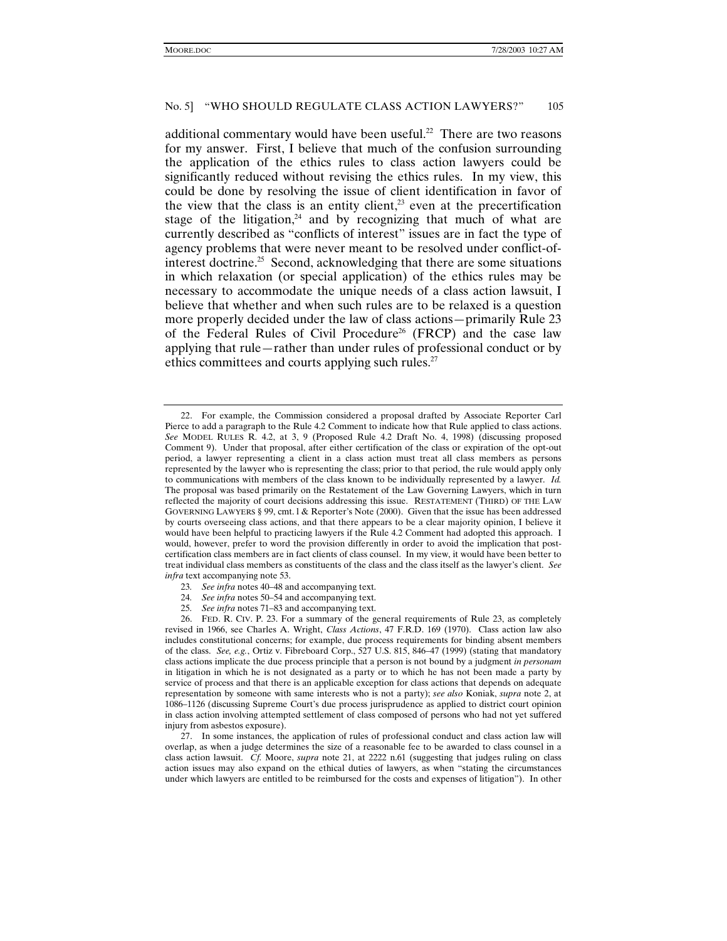additional commentary would have been useful.<sup>22</sup> There are two reasons for my answer. First, I believe that much of the confusion surrounding the application of the ethics rules to class action lawyers could be significantly reduced without revising the ethics rules. In my view, this could be done by resolving the issue of client identification in favor of the view that the class is an entity client, $2<sup>3</sup>$  even at the precertification stage of the litigation, $24$  and by recognizing that much of what are currently described as "conflicts of interest" issues are in fact the type of agency problems that were never meant to be resolved under conflict-ofinterest doctrine.<sup>25</sup> Second, acknowledging that there are some situations in which relaxation (or special application) of the ethics rules may be necessary to accommodate the unique needs of a class action lawsuit, I believe that whether and when such rules are to be relaxed is a question more properly decided under the law of class actions—primarily Rule 23 of the Federal Rules of Civil Procedure<sup>26</sup> (FRCP) and the case law applying that rule—rather than under rules of professional conduct or by ethics committees and courts applying such rules.<sup>27</sup>

- 24*. See infra* notes 50–54 and accompanying text.
- 25*. See infra* notes 71–83 and accompanying text.

 <sup>22.</sup> For example, the Commission considered a proposal drafted by Associate Reporter Carl Pierce to add a paragraph to the Rule 4.2 Comment to indicate how that Rule applied to class actions. *See* MODEL RULES R. 4.2, at 3, 9 (Proposed Rule 4.2 Draft No. 4, 1998) (discussing proposed Comment 9). Under that proposal, after either certification of the class or expiration of the opt-out period, a lawyer representing a client in a class action must treat all class members as persons represented by the lawyer who is representing the class; prior to that period, the rule would apply only to communications with members of the class known to be individually represented by a lawyer. *Id.* The proposal was based primarily on the Restatement of the Law Governing Lawyers, which in turn reflected the majority of court decisions addressing this issue. RESTATEMENT (THIRD) OF THE LAW GOVERNING LAWYERS § 99, cmt. l & Reporter's Note (2000). Given that the issue has been addressed by courts overseeing class actions, and that there appears to be a clear majority opinion, I believe it would have been helpful to practicing lawyers if the Rule 4.2 Comment had adopted this approach. I would, however, prefer to word the provision differently in order to avoid the implication that postcertification class members are in fact clients of class counsel. In my view, it would have been better to treat individual class members as constituents of the class and the class itself as the lawyer's client. *See infra* text accompanying note 53.

<sup>23</sup>*. See infra* notes 40–48 and accompanying text.

 <sup>26.</sup> FED. R. CIV. P. 23. For a summary of the general requirements of Rule 23, as completely revised in 1966, see Charles A. Wright, *Class Actions*, 47 F.R.D. 169 (1970). Class action law also includes constitutional concerns; for example, due process requirements for binding absent members of the class. *See, e.g.*, Ortiz v. Fibreboard Corp., 527 U.S. 815, 846–47 (1999) (stating that mandatory class actions implicate the due process principle that a person is not bound by a judgment *in personam* in litigation in which he is not designated as a party or to which he has not been made a party by service of process and that there is an applicable exception for class actions that depends on adequate representation by someone with same interests who is not a party); *see also* Koniak, *supra* note 2, at 1086–1126 (discussing Supreme Court's due process jurisprudence as applied to district court opinion in class action involving attempted settlement of class composed of persons who had not yet suffered injury from asbestos exposure).

 <sup>27.</sup> In some instances, the application of rules of professional conduct and class action law will overlap, as when a judge determines the size of a reasonable fee to be awarded to class counsel in a class action lawsuit. *Cf.* Moore, *supra* note 21, at 2222 n.61 (suggesting that judges ruling on class action issues may also expand on the ethical duties of lawyers, as when "stating the circumstances under which lawyers are entitled to be reimbursed for the costs and expenses of litigation"). In other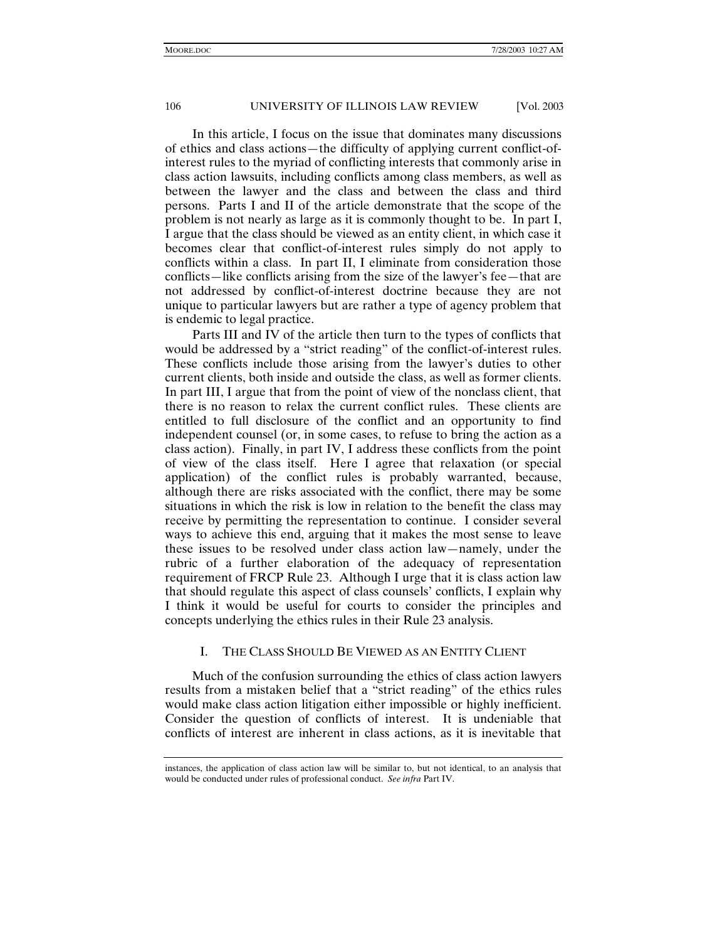In this article, I focus on the issue that dominates many discussions of ethics and class actions—the difficulty of applying current conflict-ofinterest rules to the myriad of conflicting interests that commonly arise in class action lawsuits, including conflicts among class members, as well as between the lawyer and the class and between the class and third persons. Parts I and II of the article demonstrate that the scope of the problem is not nearly as large as it is commonly thought to be. In part I, I argue that the class should be viewed as an entity client, in which case it becomes clear that conflict-of-interest rules simply do not apply to conflicts within a class. In part II, I eliminate from consideration those conflicts—like conflicts arising from the size of the lawyer's fee—that are not addressed by conflict-of-interest doctrine because they are not unique to particular lawyers but are rather a type of agency problem that is endemic to legal practice.

Parts III and IV of the article then turn to the types of conflicts that would be addressed by a "strict reading" of the conflict-of-interest rules. These conflicts include those arising from the lawyer's duties to other current clients, both inside and outside the class, as well as former clients. In part III, I argue that from the point of view of the nonclass client, that there is no reason to relax the current conflict rules. These clients are entitled to full disclosure of the conflict and an opportunity to find independent counsel (or, in some cases, to refuse to bring the action as a class action). Finally, in part IV, I address these conflicts from the point of view of the class itself. Here I agree that relaxation (or special application) of the conflict rules is probably warranted, because, although there are risks associated with the conflict, there may be some situations in which the risk is low in relation to the benefit the class may receive by permitting the representation to continue. I consider several ways to achieve this end, arguing that it makes the most sense to leave these issues to be resolved under class action law—namely, under the rubric of a further elaboration of the adequacy of representation requirement of FRCP Rule 23. Although I urge that it is class action law that should regulate this aspect of class counsels' conflicts, I explain why I think it would be useful for courts to consider the principles and concepts underlying the ethics rules in their Rule 23 analysis.

#### I. THE CLASS SHOULD BE VIEWED AS AN ENTITY CLIENT

Much of the confusion surrounding the ethics of class action lawyers results from a mistaken belief that a "strict reading" of the ethics rules would make class action litigation either impossible or highly inefficient. Consider the question of conflicts of interest. It is undeniable that conflicts of interest are inherent in class actions, as it is inevitable that

instances, the application of class action law will be similar to, but not identical, to an analysis that would be conducted under rules of professional conduct. *See infra* Part IV.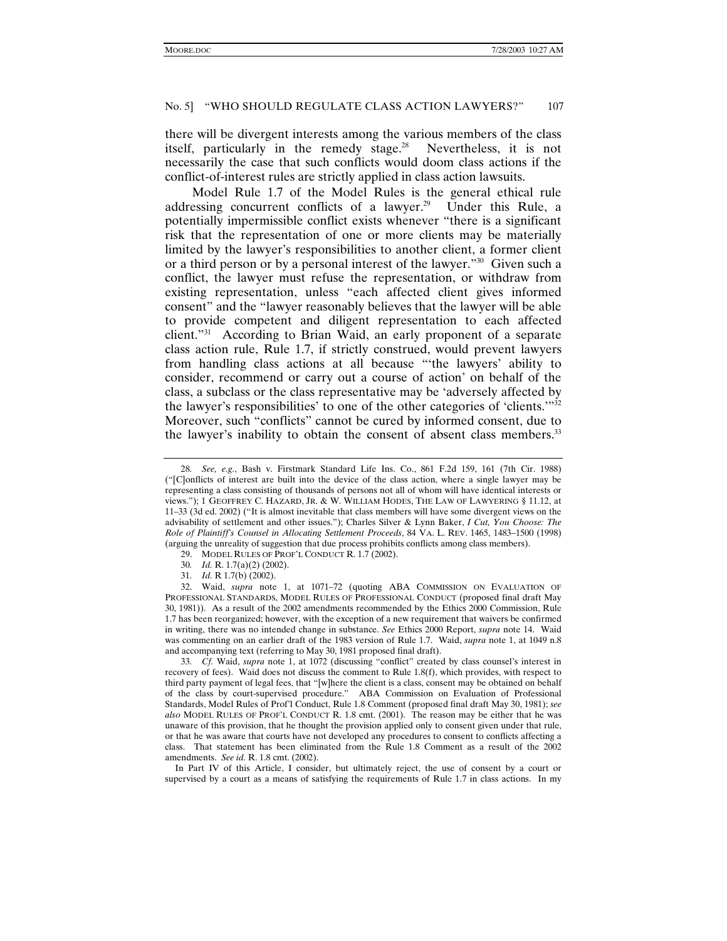there will be divergent interests among the various members of the class itself, particularly in the remedy stage.<sup>28</sup> Nevertheless, it is not necessarily the case that such conflicts would doom class actions if the conflict-of-interest rules are strictly applied in class action lawsuits.

Model Rule 1.7 of the Model Rules is the general ethical rule addressing concurrent conflicts of a lawyer.<sup>29</sup> Under this Rule, a potentially impermissible conflict exists whenever "there is a significant risk that the representation of one or more clients may be materially limited by the lawyer's responsibilities to another client, a former client or a third person or by a personal interest of the lawyer."30 Given such a conflict, the lawyer must refuse the representation, or withdraw from existing representation, unless "each affected client gives informed consent" and the "lawyer reasonably believes that the lawyer will be able to provide competent and diligent representation to each affected client."31 According to Brian Waid, an early proponent of a separate class action rule, Rule 1.7, if strictly construed, would prevent lawyers from handling class actions at all because "'the lawyers' ability to consider, recommend or carry out a course of action' on behalf of the class, a subclass or the class representative may be 'adversely affected by the lawyer's responsibilities' to one of the other categories of 'clients.'"32 Moreover, such "conflicts" cannot be cured by informed consent, due to the lawyer's inability to obtain the consent of absent class members.33

In Part IV of this Article, I consider, but ultimately reject, the use of consent by a court or supervised by a court as a means of satisfying the requirements of Rule 1.7 in class actions. In my

<sup>28</sup>*. See, e.g.*, Bash v. Firstmark Standard Life Ins. Co., 861 F.2d 159, 161 (7th Cir. 1988) ("[C]onflicts of interest are built into the device of the class action, where a single lawyer may be representing a class consisting of thousands of persons not all of whom will have identical interests or views."); 1 GEOFFREY C. HAZARD, JR. & W. WILLIAM HODES, THE LAW OF LAWYERING § 11.12, at 11–33 (3d ed. 2002) ("It is almost inevitable that class members will have some divergent views on the advisability of settlement and other issues."); Charles Silver & Lynn Baker, *I Cut, You Choose: The Role of Plaintiff's Counsel in Allocating Settlement Proceeds*, 84 VA. L. REV. 1465, 1483–1500 (1998) (arguing the unreality of suggestion that due process prohibits conflicts among class members).

 <sup>29.</sup> MODEL RULES OF PROF'L CONDUCT R. 1.7 (2002).

<sup>30</sup>*. Id.* R. 1.7(a)(2) (2002).

<sup>31</sup>*. Id.* R 1.7(b) (2002).

 <sup>32.</sup> Waid, *supra* note 1, at 1071–72 (quoting ABA COMMISSION ON EVALUATION OF PROFESSIONAL STANDARDS, MODEL RULES OF PROFESSIONAL CONDUCT (proposed final draft May 30, 1981)). As a result of the 2002 amendments recommended by the Ethics 2000 Commission, Rule 1.7 has been reorganized; however, with the exception of a new requirement that waivers be confirmed in writing, there was no intended change in substance. *See* Ethics 2000 Report, *supra* note 14. Waid was commenting on an earlier draft of the 1983 version of Rule 1.7. Waid, *supra* note 1, at 1049 n.8 and accompanying text (referring to May 30, 1981 proposed final draft).

<sup>33</sup>*. Cf.* Waid, *supra* note 1, at 1072 (discussing "conflict" created by class counsel's interest in recovery of fees). Waid does not discuss the comment to Rule 1.8(f), which provides, with respect to third party payment of legal fees, that "[w]here the client is a class, consent may be obtained on behalf of the class by court-supervised procedure." ABA Commission on Evaluation of Professional Standards, Model Rules of Prof'l Conduct, Rule 1.8 Comment (proposed final draft May 30, 1981); *see also* MODEL RULES OF PROF'L CONDUCT R. 1.8 cmt. (2001). The reason may be either that he was unaware of this provision, that he thought the provision applied only to consent given under that rule, or that he was aware that courts have not developed any procedures to consent to conflicts affecting a class. That statement has been eliminated from the Rule 1.8 Comment as a result of the 2002 amendments. *See id.* R. 1.8 cmt. (2002).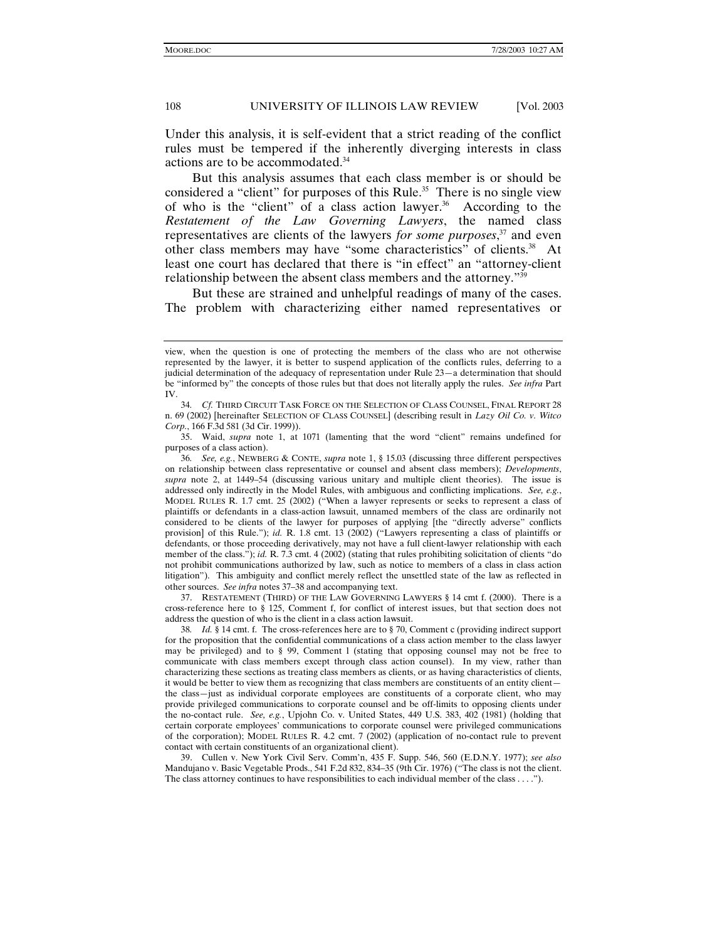Under this analysis, it is self-evident that a strict reading of the conflict rules must be tempered if the inherently diverging interests in class actions are to be accommodated.34

But this analysis assumes that each class member is or should be considered a "client" for purposes of this Rule. $35$  There is no single view of who is the "client" of a class action lawyer.<sup>36</sup> According to the *Restatement of the Law Governing Lawyers*, the named class representatives are clients of the lawyers *for some purposes*, 37 and even other class members may have "some characteristics" of clients.<sup>38</sup> At least one court has declared that there is "in effect" an "attorney-client relationship between the absent class members and the attorney."39

But these are strained and unhelpful readings of many of the cases. The problem with characterizing either named representatives or

 37. RESTATEMENT (THIRD) OF THE LAW GOVERNING LAWYERS § 14 cmt f. (2000). There is a cross-reference here to § 125, Comment f, for conflict of interest issues, but that section does not address the question of who is the client in a class action lawsuit.

38*. Id.* § 14 cmt. f. The cross-references here are to § 70, Comment c (providing indirect support for the proposition that the confidential communications of a class action member to the class lawyer may be privileged) and to § 99, Comment l (stating that opposing counsel may not be free to communicate with class members except through class action counsel). In my view, rather than characterizing these sections as treating class members as clients, or as having characteristics of clients, it would be better to view them as recognizing that class members are constituents of an entity client the class—just as individual corporate employees are constituents of a corporate client, who may provide privileged communications to corporate counsel and be off-limits to opposing clients under the no-contact rule. *See, e.g.*, Upjohn Co. v. United States, 449 U.S. 383, 402 (1981) (holding that certain corporate employees' communications to corporate counsel were privileged communications of the corporation); MODEL RULES R. 4.2 cmt. 7 (2002) (application of no-contact rule to prevent contact with certain constituents of an organizational client).

 39. Cullen v. New York Civil Serv. Comm'n, 435 F. Supp. 546, 560 (E.D.N.Y. 1977); *see also* Mandujano v. Basic Vegetable Prods., 541 F.2d 832, 834–35 (9th Cir. 1976) ("The class is not the client. The class attorney continues to have responsibilities to each individual member of the class . . . .").

view, when the question is one of protecting the members of the class who are not otherwise represented by the lawyer, it is better to suspend application of the conflicts rules, deferring to a judicial determination of the adequacy of representation under Rule 23—a determination that should be "informed by" the concepts of those rules but that does not literally apply the rules. *See infra* Part IV.

<sup>34</sup>*. Cf.* THIRD CIRCUIT TASK FORCE ON THE SELECTION OF CLASS COUNSEL, FINAL REPORT 28 n. 69 (2002) [hereinafter SELECTION OF CLASS COUNSEL] (describing result in *Lazy Oil Co. v. Witco Corp.*, 166 F.3d 581 (3d Cir. 1999)).

 <sup>35.</sup> Waid, *supra* note 1, at 1071 (lamenting that the word "client" remains undefined for purposes of a class action).

<sup>36</sup>*. See, e.g.*, NEWBERG & CONTE, *supra* note 1, § 15.03 (discussing three different perspectives on relationship between class representative or counsel and absent class members); *Developments*, *supra* note 2, at 1449–54 (discussing various unitary and multiple client theories). The issue is addressed only indirectly in the Model Rules, with ambiguous and conflicting implications. *See, e.g.*, MODEL RULES R. 1.7 cmt. 25 (2002) ("When a lawyer represents or seeks to represent a class of plaintiffs or defendants in a class-action lawsuit, unnamed members of the class are ordinarily not considered to be clients of the lawyer for purposes of applying [the "directly adverse" conflicts provision] of this Rule."); *id.* R. 1.8 cmt. 13 (2002) ("Lawyers representing a class of plaintiffs or defendants, or those proceeding derivatively, may not have a full client-lawyer relationship with each member of the class."); *id.* R. 7.3 cmt. 4 (2002) (stating that rules prohibiting solicitation of clients "do not prohibit communications authorized by law, such as notice to members of a class in class action litigation"). This ambiguity and conflict merely reflect the unsettled state of the law as reflected in other sources. *See infra* notes 37–38 and accompanying text.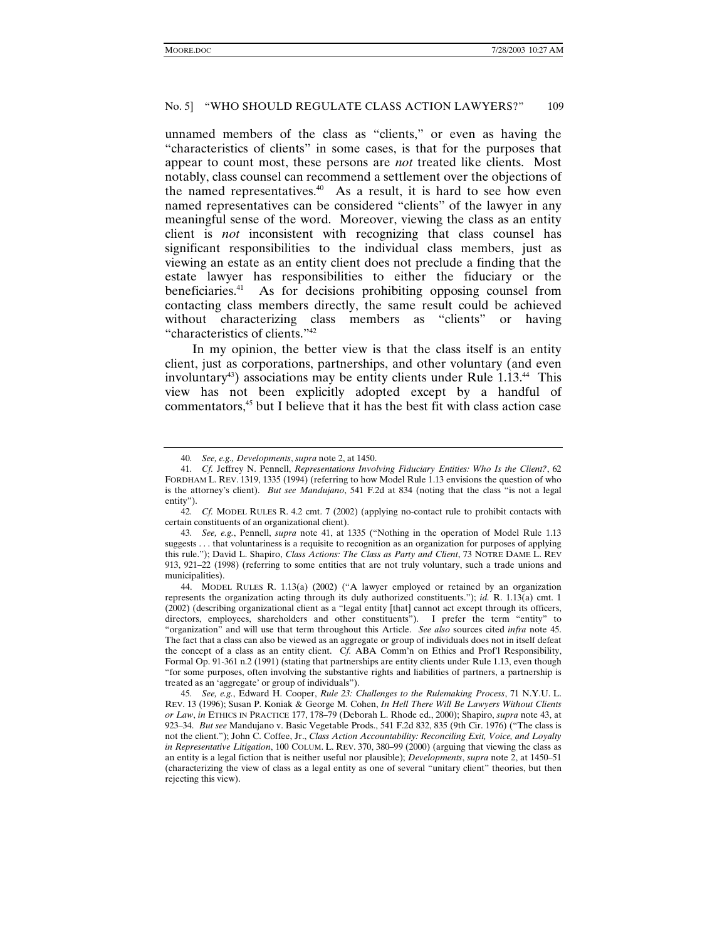unnamed members of the class as "clients," or even as having the "characteristics of clients" in some cases, is that for the purposes that appear to count most, these persons are *not* treated like clients. Most notably, class counsel can recommend a settlement over the objections of the named representatives. $40$  As a result, it is hard to see how even named representatives can be considered "clients" of the lawyer in any meaningful sense of the word. Moreover, viewing the class as an entity client is *not* inconsistent with recognizing that class counsel has significant responsibilities to the individual class members, just as viewing an estate as an entity client does not preclude a finding that the estate lawyer has responsibilities to either the fiduciary or the beneficiaries.<sup>41</sup> As for decisions prohibiting opposing counsel from contacting class members directly, the same result could be achieved without characterizing class members as "clients" or having "characteristics of clients."42

In my opinion, the better view is that the class itself is an entity client, just as corporations, partnerships, and other voluntary (and even involuntary<sup>43</sup>) associations may be entity clients under Rule  $1.13<sup>44</sup>$  This view has not been explicitly adopted except by a handful of commentators,<sup>45</sup> but I believe that it has the best fit with class action case

<sup>40</sup>*. See, e.g., Developments*, *supra* note 2, at 1450.

<sup>41</sup>*. Cf.* Jeffrey N. Pennell, *Representations Involving Fiduciary Entities: Who Is the Client?*, 62 FORDHAM L. REV. 1319, 1335 (1994) (referring to how Model Rule 1.13 envisions the question of who is the attorney's client). *But see Mandujano*, 541 F.2d at 834 (noting that the class "is not a legal entity").

<sup>42</sup>*. Cf.* MODEL RULES R. 4.2 cmt. 7 (2002) (applying no-contact rule to prohibit contacts with certain constituents of an organizational client).

<sup>43</sup>*. See, e.g.*, Pennell, *supra* note 41, at 1335 ("Nothing in the operation of Model Rule 1.13 suggests . . . that voluntariness is a requisite to recognition as an organization for purposes of applying this rule."); David L. Shapiro, *Class Actions: The Class as Party and Client*, 73 NOTRE DAME L. REV 913, 921–22 (1998) (referring to some entities that are not truly voluntary, such a trade unions and municipalities).

 <sup>44.</sup> MODEL RULES R. 1.13(a) (2002) ("A lawyer employed or retained by an organization represents the organization acting through its duly authorized constituents."); *id.* R. 1.13(a) cmt. 1 (2002) (describing organizational client as a "legal entity [that] cannot act except through its officers, directors, employees, shareholders and other constituents"). I prefer the term "entity" to "organization" and will use that term throughout this Article. *See also* sources cited *infra* note 45. The fact that a class can also be viewed as an aggregate or group of individuals does not in itself defeat the concept of a class as an entity client. C*f.* ABA Comm'n on Ethics and Prof'l Responsibility, Formal Op. 91-361 n.2 (1991) (stating that partnerships are entity clients under Rule 1.13, even though "for some purposes, often involving the substantive rights and liabilities of partners, a partnership is treated as an 'aggregate' or group of individuals").

<sup>45</sup>*. See, e.g.*, Edward H. Cooper, *Rule 23: Challenges to the Rulemaking Process*, 71 N.Y.U. L. REV. 13 (1996); Susan P. Koniak & George M. Cohen, *In Hell There Will Be Lawyers Without Clients or Law*, *in* ETHICS IN PRACTICE 177, 178–79 (Deborah L. Rhode ed., 2000); Shapiro, *supra* note 43, at 923–34. *But see* Mandujano v. Basic Vegetable Prods., 541 F.2d 832, 835 (9th Cir. 1976) ("The class is not the client."); John C. Coffee, Jr., *Class Action Accountability: Reconciling Exit, Voice, and Loyalty in Representative Litigation*, 100 COLUM. L. REV. 370, 380–99 (2000) (arguing that viewing the class as an entity is a legal fiction that is neither useful nor plausible); *Developments*, *supra* note 2, at 1450–51 (characterizing the view of class as a legal entity as one of several "unitary client" theories, but then rejecting this view).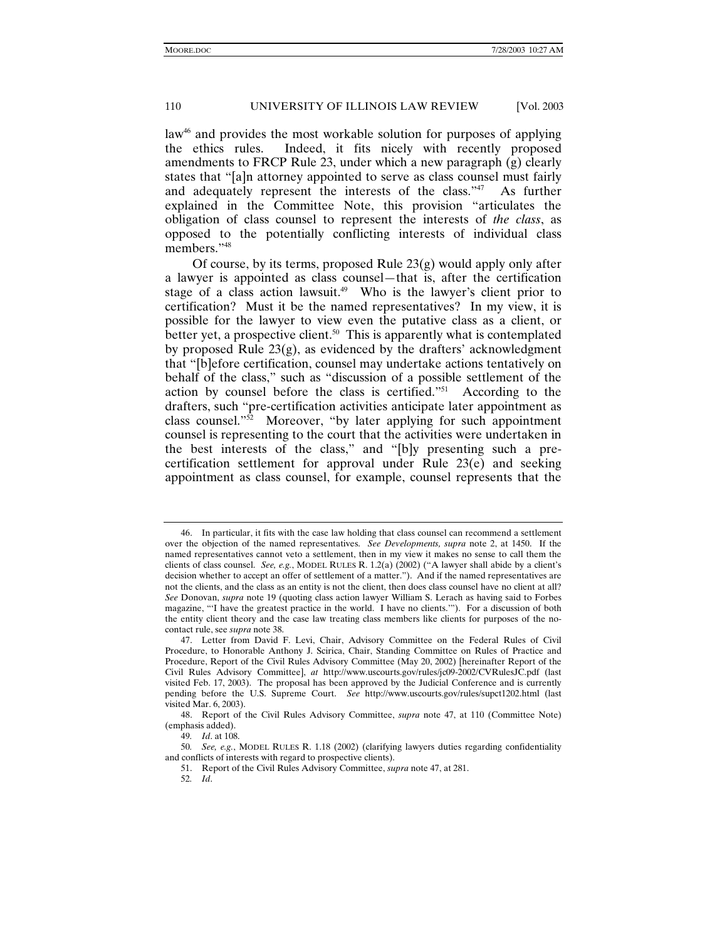law<sup>46</sup> and provides the most workable solution for purposes of applying the ethics rules. Indeed, it fits nicely with recently proposed amendments to FRCP Rule 23, under which a new paragraph (g) clearly states that "[a]n attorney appointed to serve as class counsel must fairly and adequately represent the interests of the class."47 As further explained in the Committee Note, this provision "articulates the obligation of class counsel to represent the interests of *the class*, as opposed to the potentially conflicting interests of individual class members."48

Of course, by its terms, proposed Rule 23(g) would apply only after a lawyer is appointed as class counsel—that is, after the certification stage of a class action lawsuit.<sup>49</sup> Who is the lawyer's client prior to certification? Must it be the named representatives? In my view, it is possible for the lawyer to view even the putative class as a client, or better yet, a prospective client.<sup>50</sup> This is apparently what is contemplated by proposed Rule 23(g), as evidenced by the drafters' acknowledgment that "[b]efore certification, counsel may undertake actions tentatively on behalf of the class," such as "discussion of a possible settlement of the action by counsel before the class is certified."51 According to the drafters, such "pre-certification activities anticipate later appointment as class counsel."52 Moreover, "by later applying for such appointment counsel is representing to the court that the activities were undertaken in the best interests of the class," and "[b]y presenting such a precertification settlement for approval under Rule 23(e) and seeking appointment as class counsel, for example, counsel represents that the

 <sup>46.</sup> In particular, it fits with the case law holding that class counsel can recommend a settlement over the objection of the named representatives. *See Developments, supra* note 2, at 1450. If the named representatives cannot veto a settlement, then in my view it makes no sense to call them the clients of class counsel. *See, e.g.*, MODEL RULES R. 1.2(a) (2002) ("A lawyer shall abide by a client's decision whether to accept an offer of settlement of a matter."). And if the named representatives are not the clients, and the class as an entity is not the client, then does class counsel have no client at all? *See* Donovan, *supra* note 19 (quoting class action lawyer William S. Lerach as having said to Forbes magazine, "'I have the greatest practice in the world. I have no clients.'"). For a discussion of both the entity client theory and the case law treating class members like clients for purposes of the nocontact rule, see *supra* note 38.

 <sup>47.</sup> Letter from David F. Levi, Chair, Advisory Committee on the Federal Rules of Civil Procedure, to Honorable Anthony J. Scirica, Chair, Standing Committee on Rules of Practice and Procedure, Report of the Civil Rules Advisory Committee (May 20, 2002) [hereinafter Report of the Civil Rules Advisory Committee], *at* http://www.uscourts.gov/rules/jc09-2002/CVRulesJC.pdf (last visited Feb. 17, 2003). The proposal has been approved by the Judicial Conference and is currently pending before the U.S. Supreme Court. *See* http://www.uscourts.gov/rules/supct1202.html (last visited Mar. 6, 2003).

 <sup>48.</sup> Report of the Civil Rules Advisory Committee, *supra* note 47, at 110 (Committee Note) (emphasis added).

<sup>49</sup>*. Id*. at 108.

<sup>50</sup>*. See, e.g.*, MODEL RULES R. 1.18 (2002) (clarifying lawyers duties regarding confidentiality and conflicts of interests with regard to prospective clients).

 <sup>51.</sup> Report of the Civil Rules Advisory Committee, *supra* note 47, at 281.

<sup>52</sup>*. Id*.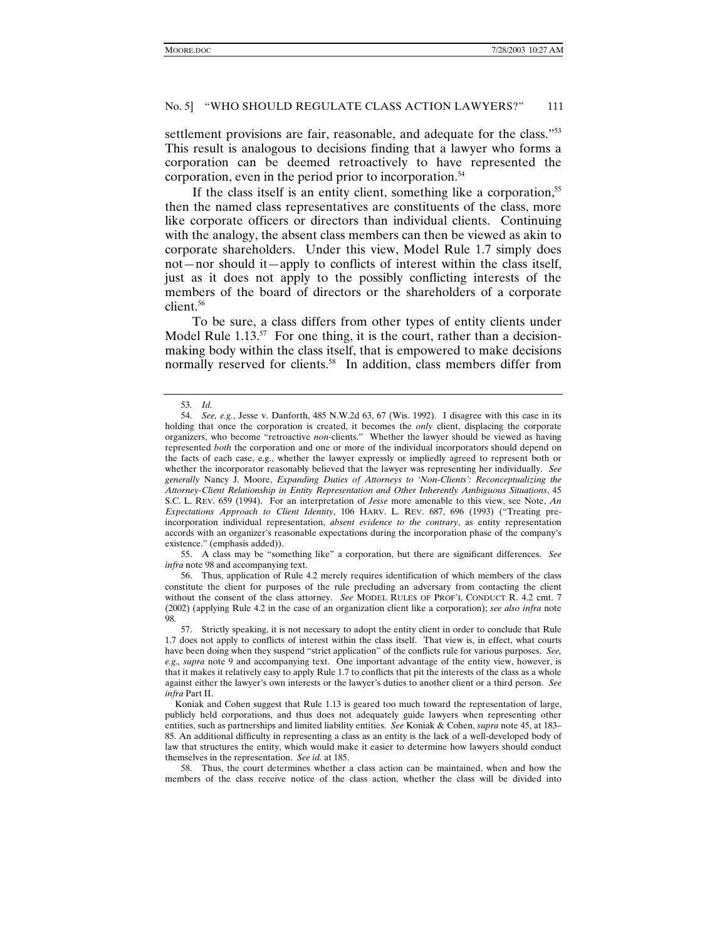settlement provisions are fair, reasonable, and adequate for the class."<sup>53</sup> This result is analogous to decisions finding that a lawyer who forms a corporation can be deemed retroactively to have represented the corporation, even in the period prior to incorporation.<sup>54</sup>

If the class itself is an entity client, something like a corporation,  $55$ then the named class representatives are constituents of the class, more like corporate officers or directors than individual clients. Continuing with the analogy, the absent class members can then be viewed as akin to corporate shareholders. Under this view, Model Rule 1.7 simply does not—nor should it—apply to conflicts of interest within the class itself, just as it does not apply to the possibly conflicting interests of the members of the board of directors or the shareholders of a corporate client.<sup>56</sup>

To be sure, a class differs from other types of entity clients under Model Rule  $1.13^{57}$  For one thing, it is the court, rather than a decisionmaking body within the class itself, that is empowered to make decisions normally reserved for clients.<sup>58</sup> In addition, class members differ from

 55. A class may be "something like" a corporation, but there are significant differences. *See infra* note 98 and accompanying text.

 56. Thus, application of Rule 4.2 merely requires identification of which members of the class constitute the client for purposes of the rule precluding an adversary from contacting the client without the consent of the class attorney. *See* MODEL RULES OF PROF'L CONDUCT R. 4.2 cmt. 7 (2002) (applying Rule 4.2 in the case of an organization client like a corporation); *see also infra* note 98.

 58. Thus, the court determines whether a class action can be maintained, when and how the members of the class receive notice of the class action, whether the class will be divided into

<sup>53</sup>*. Id.*

<sup>54</sup>*. See, e.g.*, Jesse v. Danforth, 485 N.W.2d 63, 67 (Wis. 1992). I disagree with this case in its holding that once the corporation is created, it becomes the *only* client, displacing the corporate organizers, who become "retroactive *non*-clients." Whether the lawyer should be viewed as having represented *both* the corporation and one or more of the individual incorporators should depend on the facts of each case, e.g., whether the lawyer expressly or impliedly agreed to represent both or whether the incorporator reasonably believed that the lawyer was representing her individually. *See generally* Nancy J. Moore, *Expanding Duties of Attorneys to 'Non-Clients': Reconceptualizing the Attorney-Client Relationship in Entity Representation and Other Inherently Ambiguous Situations*, 45 S.C. L. REV. 659 (1994). For an interpretation of *Jesse* more amenable to this view, see Note, *An Expectations Approach to Client Identity*, 106 HARV. L. REV. 687, 696 (1993) ("Treating preincorporation individual representation, *absent evidence to the contrary*, as entity representation accords with an organizer's reasonable expectations during the incorporation phase of the company's existence." (emphasis added)).

 <sup>57.</sup> Strictly speaking, it is not necessary to adopt the entity client in order to conclude that Rule 1.7 does not apply to conflicts of interest within the class itself. That view is, in effect, what courts have been doing when they suspend "strict application" of the conflicts rule for various purposes. *See, e.g., supra* note 9 and accompanying text. One important advantage of the entity view, however, is that it makes it relatively easy to apply Rule 1.7 to conflicts that pit the interests of the class as a whole against either the lawyer's own interests or the lawyer's duties to another client or a third person. *See infra* Part II.

Koniak and Cohen suggest that Rule 1.13 is geared too much toward the representation of large, publicly held corporations, and thus does not adequately guide lawyers when representing other entities, such as partnerships and limited liability entities. *See* Koniak & Cohen, *supra* note 45, at 183– 85. An additional difficulty in representing a class as an entity is the lack of a well-developed body of law that structures the entity, which would make it easier to determine how lawyers should conduct themselves in the representation. *See id.* at 185.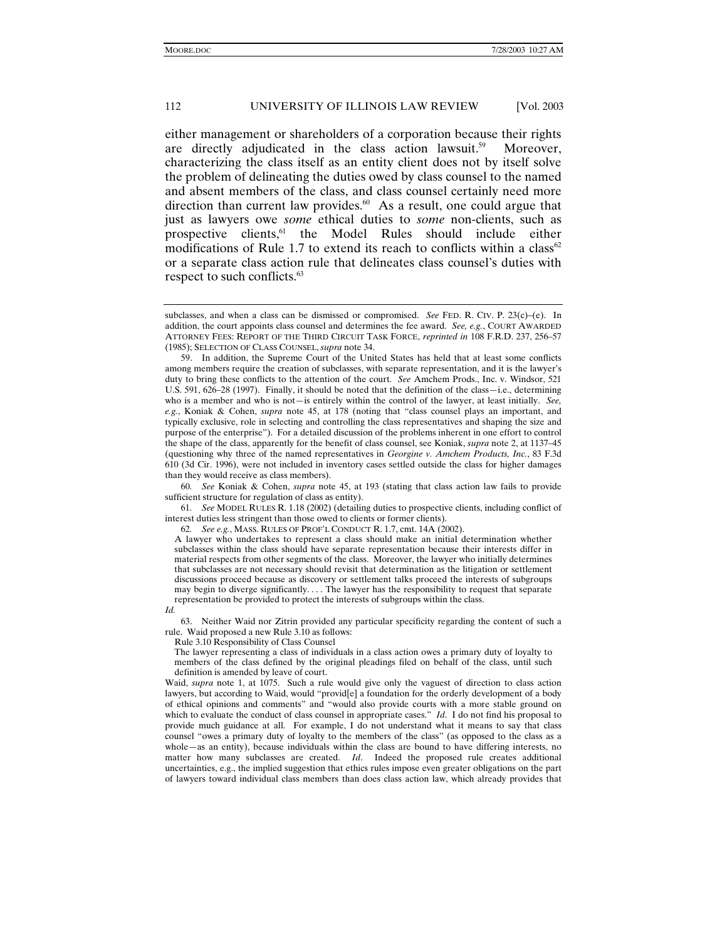either management or shareholders of a corporation because their rights are directly adjudicated in the class action lawsuit.<sup>59</sup> Moreover, characterizing the class itself as an entity client does not by itself solve the problem of delineating the duties owed by class counsel to the named and absent members of the class, and class counsel certainly need more direction than current law provides. $60$  As a result, one could argue that just as lawyers owe *some* ethical duties to *some* non-clients, such as prospective clients,<sup>61</sup> the Model Rules should include either modifications of Rule 1.7 to extend its reach to conflicts within a class<sup>62</sup> or a separate class action rule that delineates class counsel's duties with respect to such conflicts.<sup>63</sup>

60*. See* Koniak & Cohen, *supra* note 45, at 193 (stating that class action law fails to provide sufficient structure for regulation of class as entity).

61*. See* MODEL RULES R. 1.18 (2002) (detailing duties to prospective clients, including conflict of interest duties less stringent than those owed to clients or former clients).

62*. See e.g.*, MASS. RULES OF PROF'L CONDUCT R. 1.7, cmt. 14A (2002).

A lawyer who undertakes to represent a class should make an initial determination whether subclasses within the class should have separate representation because their interests differ in material respects from other segments of the class. Moreover, the lawyer who initially determines that subclasses are not necessary should revisit that determination as the litigation or settlement discussions proceed because as discovery or settlement talks proceed the interests of subgroups may begin to diverge significantly. . . . The lawyer has the responsibility to request that separate representation be provided to protect the interests of subgroups within the class. *Id.*

 63. Neither Waid nor Zitrin provided any particular specificity regarding the content of such a rule. Waid proposed a new Rule 3.10 as follows:

Rule 3.10 Responsibility of Class Counsel

The lawyer representing a class of individuals in a class action owes a primary duty of loyalty to members of the class defined by the original pleadings filed on behalf of the class, until such definition is amended by leave of court.

Waid, *supra* note 1, at 1075. Such a rule would give only the vaguest of direction to class action lawyers, but according to Waid, would "provid[e] a foundation for the orderly development of a body of ethical opinions and comments" and "would also provide courts with a more stable ground on which to evaluate the conduct of class counsel in appropriate cases." *Id*. I do not find his proposal to provide much guidance at all. For example, I do not understand what it means to say that class counsel "owes a primary duty of loyalty to the members of the class" (as opposed to the class as a whole—as an entity), because individuals within the class are bound to have differing interests, no matter how many subclasses are created. *Id*. Indeed the proposed rule creates additional uncertainties, e.g., the implied suggestion that ethics rules impose even greater obligations on the part of lawyers toward individual class members than does class action law, which already provides that

subclasses, and when a class can be dismissed or compromised. *See* FED. R. CIV. P. 23(c)–(e). In addition, the court appoints class counsel and determines the fee award. *See, e.g.*, COURT AWARDED ATTORNEY FEES: REPORT OF THE THIRD CIRCUIT TASK FORCE, *reprinted in* 108 F.R.D. 237, 256–57 (1985); SELECTION OF CLASS COUNSEL, *supra* note 34.

 <sup>59.</sup> In addition, the Supreme Court of the United States has held that at least some conflicts among members require the creation of subclasses, with separate representation, and it is the lawyer's duty to bring these conflicts to the attention of the court. *See* Amchem Prods., Inc. v. Windsor, 521 U.S. 591, 626–28 (1997). Finally, it should be noted that the definition of the class—i.e., determining who is a member and who is not—is entirely within the control of the lawyer, at least initially. *See, e.g.*, Koniak & Cohen, *supra* note 45, at 178 (noting that "class counsel plays an important, and typically exclusive, role in selecting and controlling the class representatives and shaping the size and purpose of the enterprise"). For a detailed discussion of the problems inherent in one effort to control the shape of the class, apparently for the benefit of class counsel, see Koniak, *supra* note 2, at 1137–45 (questioning why three of the named representatives in *Georgine v. Amchem Products, Inc.*, 83 F.3d 610 (3d Cir. 1996), were not included in inventory cases settled outside the class for higher damages than they would receive as class members).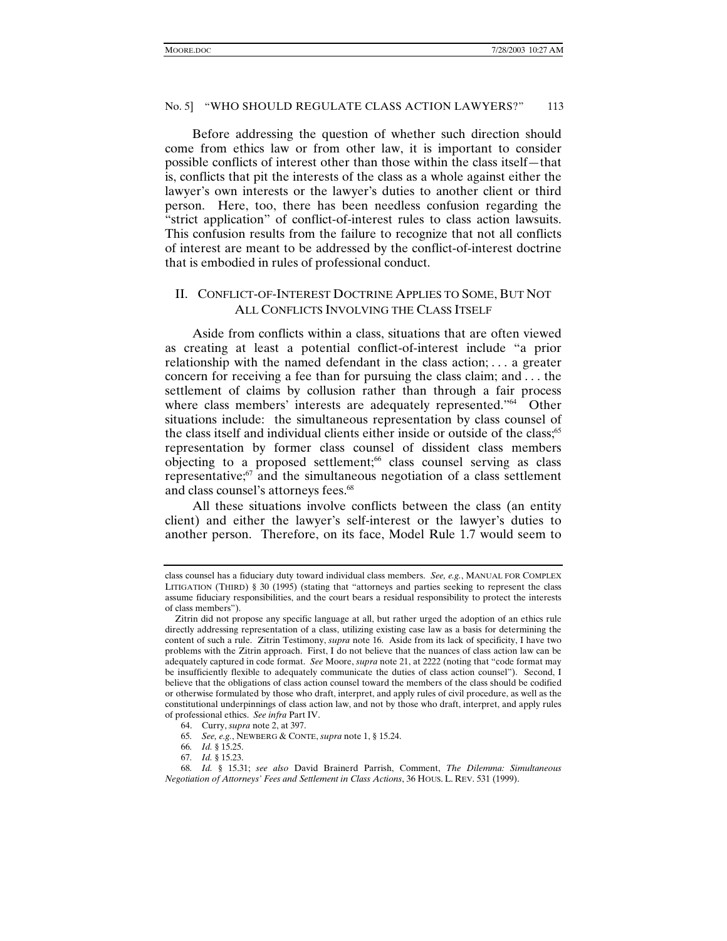Before addressing the question of whether such direction should come from ethics law or from other law, it is important to consider possible conflicts of interest other than those within the class itself—that is, conflicts that pit the interests of the class as a whole against either the lawyer's own interests or the lawyer's duties to another client or third person. Here, too, there has been needless confusion regarding the "strict application" of conflict-of-interest rules to class action lawsuits. This confusion results from the failure to recognize that not all conflicts of interest are meant to be addressed by the conflict-of-interest doctrine that is embodied in rules of professional conduct.

#### II. CONFLICT-OF-INTEREST DOCTRINE APPLIES TO SOME, BUT NOT ALL CONFLICTS INVOLVING THE CLASS ITSELF

Aside from conflicts within a class, situations that are often viewed as creating at least a potential conflict-of-interest include "a prior relationship with the named defendant in the class action; . . . a greater concern for receiving a fee than for pursuing the class claim; and . . . the settlement of claims by collusion rather than through a fair process where class members' interests are adequately represented."<sup>64</sup> Other situations include: the simultaneous representation by class counsel of the class itself and individual clients either inside or outside of the class;<sup>65</sup> representation by former class counsel of dissident class members objecting to a proposed settlement;<sup>66</sup> class counsel serving as class representative;67 and the simultaneous negotiation of a class settlement and class counsel's attorneys fees.<sup>68</sup>

All these situations involve conflicts between the class (an entity client) and either the lawyer's self-interest or the lawyer's duties to another person. Therefore, on its face, Model Rule 1.7 would seem to

class counsel has a fiduciary duty toward individual class members. *See, e.g.*, MANUAL FOR COMPLEX LITIGATION (THIRD) § 30 (1995) (stating that "attorneys and parties seeking to represent the class assume fiduciary responsibilities, and the court bears a residual responsibility to protect the interests of class members").

Zitrin did not propose any specific language at all, but rather urged the adoption of an ethics rule directly addressing representation of a class, utilizing existing case law as a basis for determining the content of such a rule. Zitrin Testimony, *supra* note 16. Aside from its lack of specificity, I have two problems with the Zitrin approach. First, I do not believe that the nuances of class action law can be adequately captured in code format. *See* Moore, *supra* note 21, at 2222 (noting that "code format may be insufficiently flexible to adequately communicate the duties of class action counsel"). Second, I believe that the obligations of class action counsel toward the members of the class should be codified or otherwise formulated by those who draft, interpret, and apply rules of civil procedure, as well as the constitutional underpinnings of class action law, and not by those who draft, interpret, and apply rules of professional ethics. *See infra* Part IV.

 <sup>64.</sup> Curry, *supra* note 2, at 397.

<sup>65</sup>*. See, e.g.*, NEWBERG & CONTE, *supra* note 1, § 15.24.

<sup>66</sup>*. Id.* § 15.25.

<sup>67</sup>*. Id.* § 15.23.

<sup>68</sup>*. Id.* § 15.31; *see also* David Brainerd Parrish, Comment, *The Dilemma: Simultaneous Negotiation of Attorneys' Fees and Settlement in Class Actions*, 36 HOUS. L. REV. 531 (1999).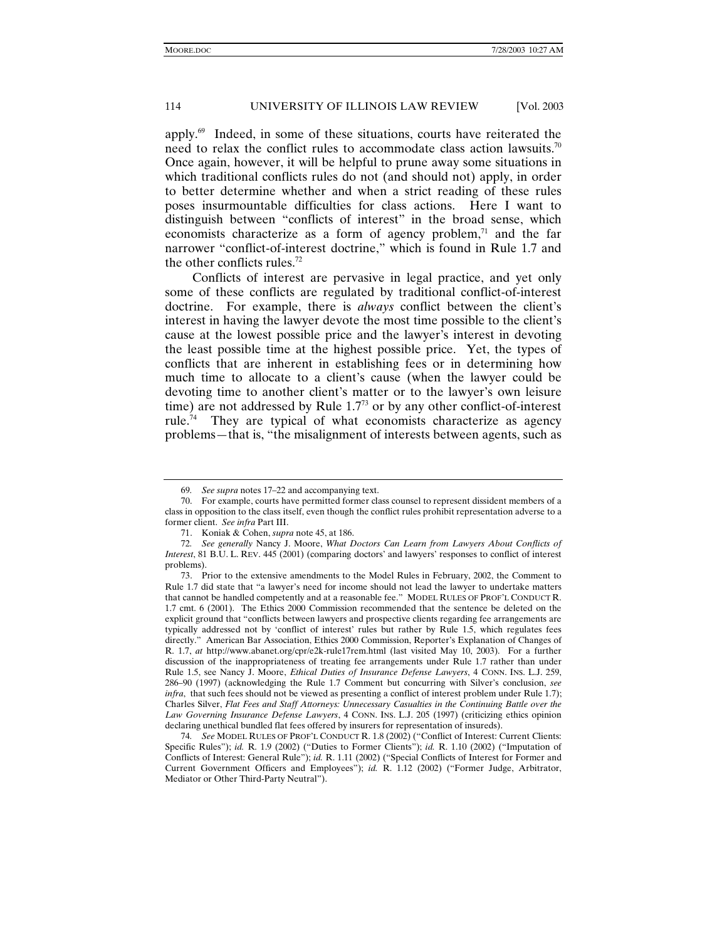apply.69 Indeed, in some of these situations, courts have reiterated the need to relax the conflict rules to accommodate class action lawsuits.<sup>70</sup> Once again, however, it will be helpful to prune away some situations in which traditional conflicts rules do not (and should not) apply, in order to better determine whether and when a strict reading of these rules poses insurmountable difficulties for class actions. Here I want to distinguish between "conflicts of interest" in the broad sense, which economists characterize as a form of agency problem, $71$  and the far narrower "conflict-of-interest doctrine," which is found in Rule 1.7 and the other conflicts rules.72

Conflicts of interest are pervasive in legal practice, and yet only some of these conflicts are regulated by traditional conflict-of-interest doctrine. For example, there is *always* conflict between the client's interest in having the lawyer devote the most time possible to the client's cause at the lowest possible price and the lawyer's interest in devoting the least possible time at the highest possible price. Yet, the types of conflicts that are inherent in establishing fees or in determining how much time to allocate to a client's cause (when the lawyer could be devoting time to another client's matter or to the lawyer's own leisure time) are not addressed by Rule 1.773 or by any other conflict-of-interest rule.74 They are typical of what economists characterize as agency problems—that is, "the misalignment of interests between agents, such as

<sup>69</sup>*. See supra* notes 17–22 and accompanying text.

 <sup>70.</sup> For example, courts have permitted former class counsel to represent dissident members of a class in opposition to the class itself, even though the conflict rules prohibit representation adverse to a former client. *See infra* Part III.

 <sup>71.</sup> Koniak & Cohen, *supra* note 45, at 186.

<sup>72</sup>*. See generally* Nancy J. Moore, *What Doctors Can Learn from Lawyers About Conflicts of Interest*, 81 B.U. L. REV. 445 (2001) (comparing doctors' and lawyers' responses to conflict of interest problems).

 <sup>73.</sup> Prior to the extensive amendments to the Model Rules in February, 2002, the Comment to Rule 1.7 did state that "a lawyer's need for income should not lead the lawyer to undertake matters that cannot be handled competently and at a reasonable fee." MODEL RULES OF PROF'L CONDUCT R. 1.7 cmt. 6 (2001). The Ethics 2000 Commission recommended that the sentence be deleted on the explicit ground that "conflicts between lawyers and prospective clients regarding fee arrangements are typically addressed not by 'conflict of interest' rules but rather by Rule 1.5, which regulates fees directly." American Bar Association, Ethics 2000 Commission, Reporter's Explanation of Changes of R. 1.7, *at* http://www.abanet.org/cpr/e2k-rule17rem.html (last visited May 10, 2003). For a further discussion of the inappropriateness of treating fee arrangements under Rule 1.7 rather than under Rule 1.5, see Nancy J. Moore, *Ethical Duties of Insurance Defense Lawyers*, 4 CONN. INS. L.J. 259, 286–90 (1997) (acknowledging the Rule 1.7 Comment but concurring with Silver's conclusion, *see infra*, that such fees should not be viewed as presenting a conflict of interest problem under Rule 1.7); Charles Silver, *Flat Fees and Staff Attorneys: Unnecessary Casualties in the Continuing Battle over the Law Governing Insurance Defense Lawyers*, 4 CONN. INS. L.J. 205 (1997) (criticizing ethics opinion declaring unethical bundled flat fees offered by insurers for representation of insureds).

<sup>74</sup>*. See* MODEL RULES OF PROF'L CONDUCT R. 1.8 (2002) ("Conflict of Interest: Current Clients: Specific Rules"); *id.* R. 1.9 (2002) ("Duties to Former Clients"); *id.* R. 1.10 (2002) ("Imputation of Conflicts of Interest: General Rule"); *id.* R. 1.11 (2002) ("Special Conflicts of Interest for Former and Current Government Officers and Employees"); *id.* R. 1.12 (2002) ("Former Judge, Arbitrator, Mediator or Other Third-Party Neutral").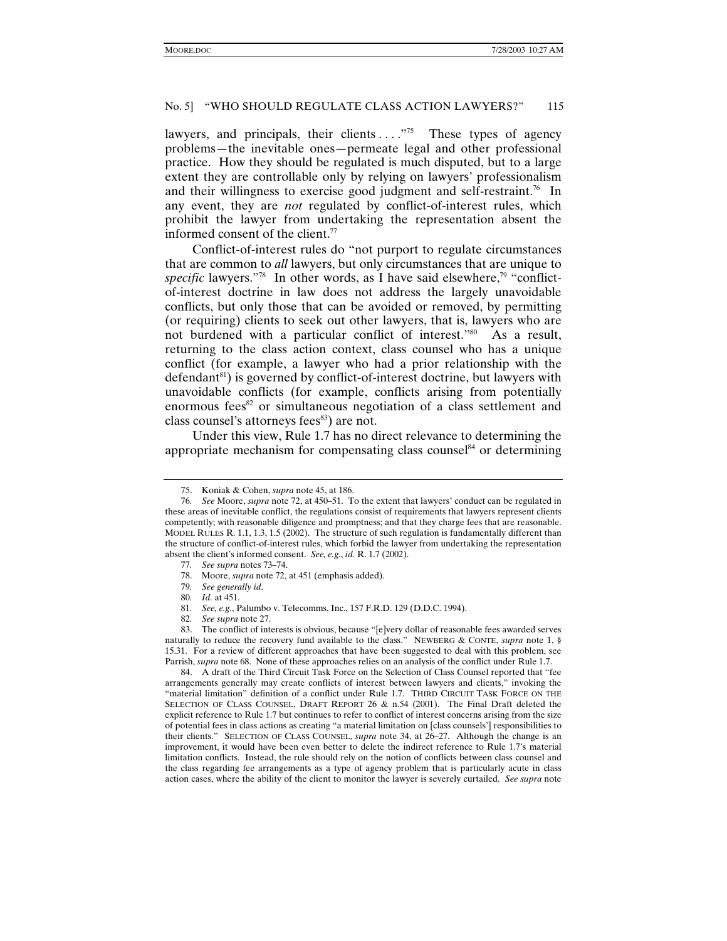lawyers, and principals, their clients  $\dots$ <sup>775</sup> These types of agency problems—the inevitable ones—permeate legal and other professional practice. How they should be regulated is much disputed, but to a large extent they are controllable only by relying on lawyers' professionalism and their willingness to exercise good judgment and self-restraint.<sup>76</sup> In any event, they are *not* regulated by conflict-of-interest rules, which prohibit the lawyer from undertaking the representation absent the informed consent of the client.<sup>77</sup>

Conflict-of-interest rules do "not purport to regulate circumstances that are common to *all* lawyers, but only circumstances that are unique to *specific* lawyers."<sup>78</sup> In other words, as I have said elsewhere,<sup>79</sup> "conflictof-interest doctrine in law does not address the largely unavoidable conflicts, but only those that can be avoided or removed, by permitting (or requiring) clients to seek out other lawyers, that is, lawyers who are not burdened with a particular conflict of interest."80 As a result, returning to the class action context, class counsel who has a unique conflict (for example, a lawyer who had a prior relationship with the defendant $^{81}$ ) is governed by conflict-of-interest doctrine, but lawyers with unavoidable conflicts (for example, conflicts arising from potentially enormous fees $82$  or simultaneous negotiation of a class settlement and class counsel's attorneys fees<sup>83</sup>) are not.

Under this view, Rule 1.7 has no direct relevance to determining the appropriate mechanism for compensating class counsel<sup>84</sup> or determining

 <sup>75.</sup> Koniak & Cohen, *supra* note 45, at 186.

<sup>76</sup>*. See* Moore, *supra* note 72, at 450–51. To the extent that lawyers' conduct can be regulated in these areas of inevitable conflict, the regulations consist of requirements that lawyers represent clients competently; with reasonable diligence and promptness; and that they charge fees that are reasonable. MODEL RULES R. 1.1, 1.3, 1.5 (2002). The structure of such regulation is fundamentally different than the structure of conflict-of-interest rules, which forbid the lawyer from undertaking the representation absent the client's informed consent. *See, e.g.*, *id.* R. 1.7 (2002).

<sup>77</sup>*. See supra* notes 73–74.

 <sup>78.</sup> Moore, *supra* note 72, at 451 (emphasis added).

<sup>79</sup>*. See generally id*.

<sup>80</sup>*. Id.* at 451.

<sup>81</sup>*. See, e.g.*, Palumbo v. Telecomms, Inc., 157 F.R.D. 129 (D.D.C. 1994).

<sup>82</sup>*. See supra* note 27.

 <sup>83.</sup> The conflict of interests is obvious, because "[e]very dollar of reasonable fees awarded serves naturally to reduce the recovery fund available to the class." NEWBERG & CONTE, *supra* note 1, § 15.31. For a review of different approaches that have been suggested to deal with this problem, see Parrish, *supra* note 68. None of these approaches relies on an analysis of the conflict under Rule 1.7.

 <sup>84.</sup> A draft of the Third Circuit Task Force on the Selection of Class Counsel reported that "fee arrangements generally may create conflicts of interest between lawyers and clients," invoking the "material limitation" definition of a conflict under Rule 1.7. THIRD CIRCUIT TASK FORCE ON THE SELECTION OF CLASS COUNSEL, DRAFT REPORT 26 & n.54 (2001). The Final Draft deleted the explicit reference to Rule 1.7 but continues to refer to conflict of interest concerns arising from the size of potential fees in class actions as creating "a material limitation on [class counsels'] responsibilities to their clients." SELECTION OF CLASS COUNSEL, *supra* note 34, at 26–27. Although the change is an improvement, it would have been even better to delete the indirect reference to Rule 1.7's material limitation conflicts. Instead, the rule should rely on the notion of conflicts between class counsel and the class regarding fee arrangements as a type of agency problem that is particularly acute in class action cases, where the ability of the client to monitor the lawyer is severely curtailed. *See supra* note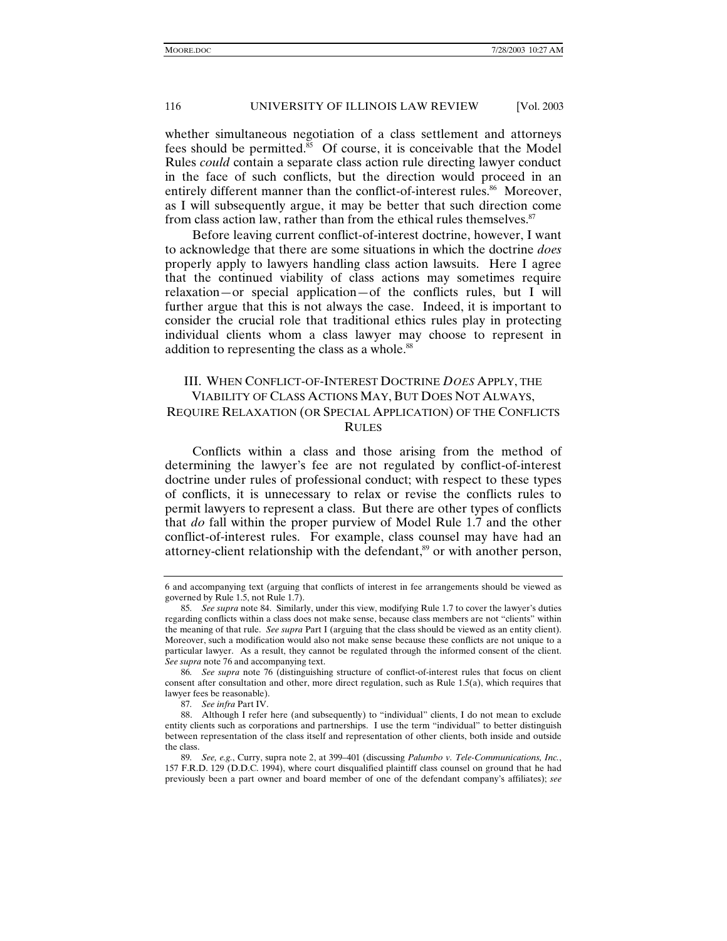whether simultaneous negotiation of a class settlement and attorneys fees should be permitted.<sup>85</sup> Of course, it is conceivable that the Model Rules *could* contain a separate class action rule directing lawyer conduct in the face of such conflicts, but the direction would proceed in an entirely different manner than the conflict-of-interest rules.<sup>86</sup> Moreover, as I will subsequently argue, it may be better that such direction come from class action law, rather than from the ethical rules themselves. $87$ 

Before leaving current conflict-of-interest doctrine, however, I want to acknowledge that there are some situations in which the doctrine *does* properly apply to lawyers handling class action lawsuits. Here I agree that the continued viability of class actions may sometimes require relaxation—or special application—of the conflicts rules, but I will further argue that this is not always the case. Indeed, it is important to consider the crucial role that traditional ethics rules play in protecting individual clients whom a class lawyer may choose to represent in addition to representing the class as a whole.<sup>88</sup>

#### III. WHEN CONFLICT-OF-INTEREST DOCTRINE *DOES* APPLY, THE VIABILITY OF CLASS ACTIONS MAY, BUT DOES NOT ALWAYS, REQUIRE RELAXATION (OR SPECIAL APPLICATION) OF THE CONFLICTS RULES

Conflicts within a class and those arising from the method of determining the lawyer's fee are not regulated by conflict-of-interest doctrine under rules of professional conduct; with respect to these types of conflicts, it is unnecessary to relax or revise the conflicts rules to permit lawyers to represent a class. But there are other types of conflicts that *do* fall within the proper purview of Model Rule 1.7 and the other conflict-of-interest rules. For example, class counsel may have had an attorney-client relationship with the defendant,<sup>89</sup> or with another person,

<sup>6</sup> and accompanying text (arguing that conflicts of interest in fee arrangements should be viewed as governed by Rule 1.5, not Rule 1.7).

<sup>85</sup>*. See supra* note 84. Similarly, under this view, modifying Rule 1.7 to cover the lawyer's duties regarding conflicts within a class does not make sense, because class members are not "clients" within the meaning of that rule. *See supra* Part I (arguing that the class should be viewed as an entity client). Moreover, such a modification would also not make sense because these conflicts are not unique to a particular lawyer. As a result, they cannot be regulated through the informed consent of the client. *See supra* note 76 and accompanying text.

<sup>86</sup>*. See supra* note 76 (distinguishing structure of conflict-of-interest rules that focus on client consent after consultation and other, more direct regulation, such as Rule 1.5(a), which requires that lawyer fees be reasonable).

<sup>87</sup>*. See infra* Part IV.

<sup>88.</sup> Although I refer here (and subsequently) to "individual" clients, I do not mean to exclude entity clients such as corporations and partnerships. I use the term "individual" to better distinguish between representation of the class itself and representation of other clients, both inside and outside the class.

<sup>89</sup>*. See, e.g.*, Curry, supra note 2, at 399–401 (discussing *Palumbo v. Tele-Communications, Inc.*, 157 F.R.D. 129 (D.D.C. 1994), where court disqualified plaintiff class counsel on ground that he had previously been a part owner and board member of one of the defendant company's affiliates); *see*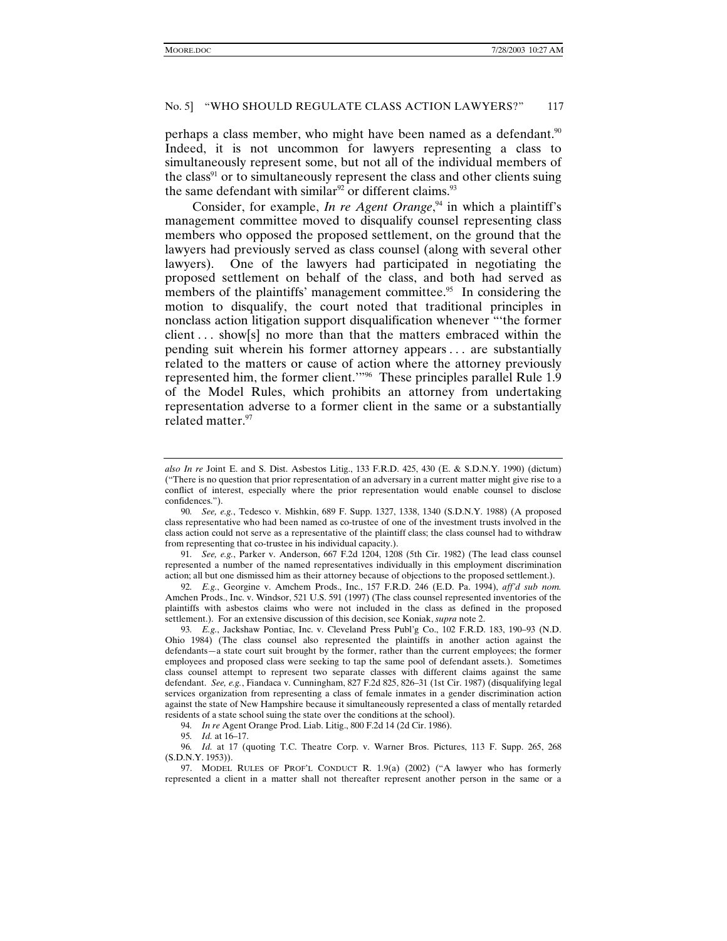perhaps a class member, who might have been named as a defendant.<sup>90</sup> Indeed, it is not uncommon for lawyers representing a class to simultaneously represent some, but not all of the individual members of the class<sup>91</sup> or to simultaneously represent the class and other clients suing the same defendant with similar<sup>92</sup> or different claims.<sup>93</sup>

Consider, for example, *In re Agent Orange*, 94 in which a plaintiff's management committee moved to disqualify counsel representing class members who opposed the proposed settlement, on the ground that the lawyers had previously served as class counsel (along with several other lawyers). One of the lawyers had participated in negotiating the proposed settlement on behalf of the class, and both had served as members of the plaintiffs' management committee.<sup>95</sup> In considering the motion to disqualify, the court noted that traditional principles in nonclass action litigation support disqualification whenever "'the former client . . . show[s] no more than that the matters embraced within the pending suit wherein his former attorney appears . . . are substantially related to the matters or cause of action where the attorney previously represented him, the former client.'"96 These principles parallel Rule 1.9 of the Model Rules, which prohibits an attorney from undertaking representation adverse to a former client in the same or a substantially related matter.<sup>97</sup>

92*. E.g.*, Georgine v. Amchem Prods., Inc., 157 F.R.D. 246 (E.D. Pa. 1994), *aff'd sub nom.* Amchen Prods., Inc. v. Windsor, 521 U.S. 591 (1997) (The class counsel represented inventories of the plaintiffs with asbestos claims who were not included in the class as defined in the proposed settlement.). For an extensive discussion of this decision, see Koniak, *supra* note 2.

*also In re* Joint E. and S. Dist. Asbestos Litig., 133 F.R.D. 425, 430 (E. & S.D.N.Y. 1990) (dictum) ("There is no question that prior representation of an adversary in a current matter might give rise to a conflict of interest, especially where the prior representation would enable counsel to disclose confidences.").

<sup>90</sup>*. See, e.g.*, Tedesco v. Mishkin, 689 F. Supp. 1327, 1338, 1340 (S.D.N.Y. 1988) (A proposed class representative who had been named as co-trustee of one of the investment trusts involved in the class action could not serve as a representative of the plaintiff class; the class counsel had to withdraw from representing that co-trustee in his individual capacity.).

<sup>91</sup>*. See, e.g.*, Parker v. Anderson, 667 F.2d 1204, 1208 (5th Cir. 1982) (The lead class counsel represented a number of the named representatives individually in this employment discrimination action; all but one dismissed him as their attorney because of objections to the proposed settlement.).

<sup>93</sup>*. E.g.*, Jackshaw Pontiac, Inc. v. Cleveland Press Publ'g Co., 102 F.R.D. 183, 190–93 (N.D. Ohio 1984) (The class counsel also represented the plaintiffs in another action against the defendants—a state court suit brought by the former, rather than the current employees; the former employees and proposed class were seeking to tap the same pool of defendant assets.). Sometimes class counsel attempt to represent two separate classes with different claims against the same defendant. *See, e.g.*, Fiandaca v. Cunningham, 827 F.2d 825, 826–31 (1st Cir. 1987) (disqualifying legal services organization from representing a class of female inmates in a gender discrimination action against the state of New Hampshire because it simultaneously represented a class of mentally retarded residents of a state school suing the state over the conditions at the school).

<sup>94</sup>*. In re* Agent Orange Prod. Liab. Litig., 800 F.2d 14 (2d Cir. 1986).

<sup>95</sup>*. Id.* at 16–17.

<sup>96</sup>*. Id.* at 17 (quoting T.C. Theatre Corp. v. Warner Bros. Pictures, 113 F. Supp. 265, 268 (S.D.N.Y. 1953)).

 <sup>97.</sup> MODEL RULES OF PROF'L CONDUCT R. 1.9(a) (2002) ("A lawyer who has formerly represented a client in a matter shall not thereafter represent another person in the same or a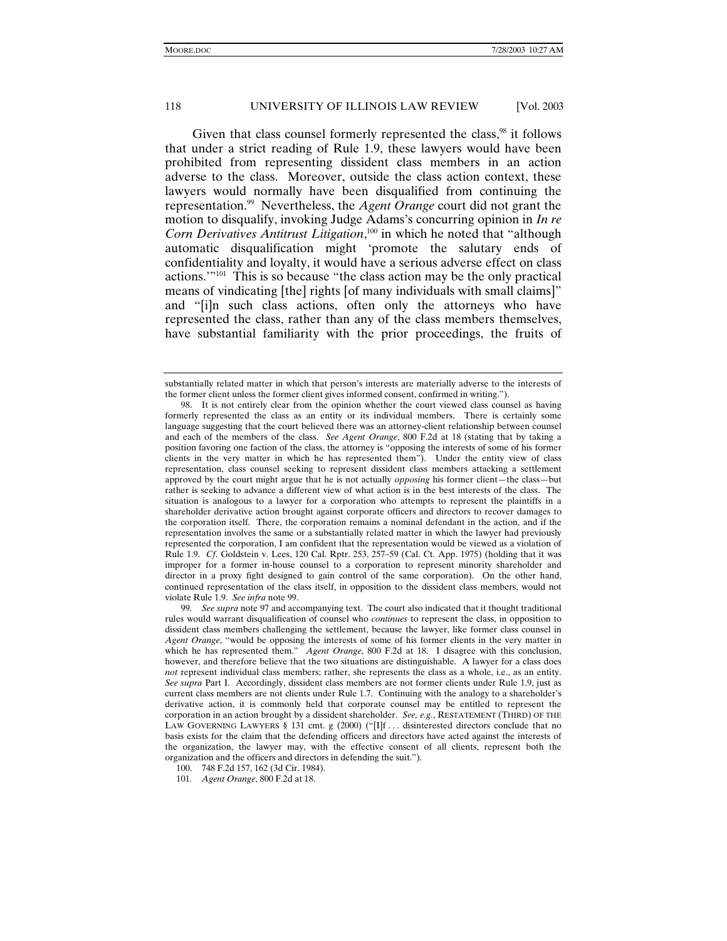Given that class counsel formerly represented the class,<sup>98</sup> it follows that under a strict reading of Rule 1.9, these lawyers would have been prohibited from representing dissident class members in an action adverse to the class. Moreover, outside the class action context, these lawyers would normally have been disqualified from continuing the representation.99 Nevertheless, the *Agent Orange* court did not grant the motion to disqualify, invoking Judge Adams's concurring opinion in *In re Corn Derivatives Antitrust Litigation*, 100 in which he noted that "although automatic disqualification might 'promote the salutary ends of confidentiality and loyalty, it would have a serious adverse effect on class actions.'"101 This is so because "the class action may be the only practical means of vindicating [the] rights [of many individuals with small claims]" and "[i]n such class actions, often only the attorneys who have represented the class, rather than any of the class members themselves, have substantial familiarity with the prior proceedings, the fruits of

100. 748 F.2d 157, 162 (3d Cir. 1984).

101*. Agent Orange*, 800 F.2d at 18.

substantially related matter in which that person's interests are materially adverse to the interests of the former client unless the former client gives informed consent, confirmed in writing.").

 <sup>98.</sup> It is not entirely clear from the opinion whether the court viewed class counsel as having formerly represented the class as an entity or its individual members. There is certainly some language suggesting that the court believed there was an attorney-client relationship between counsel and each of the members of the class. *See Agent Orange*, 800 F.2d at 18 (stating that by taking a position favoring one faction of the class, the attorney is "opposing the interests of some of his former clients in the very matter in which he has represented them"). Under the entity view of class representation, class counsel seeking to represent dissident class members attacking a settlement approved by the court might argue that he is not actually *opposing* his former client—the class—but rather is seeking to advance a different view of what action is in the best interests of the class. The situation is analogous to a lawyer for a corporation who attempts to represent the plaintiffs in a shareholder derivative action brought against corporate officers and directors to recover damages to the corporation itself. There, the corporation remains a nominal defendant in the action, and if the representation involves the same or a substantially related matter in which the lawyer had previously represented the corporation, I am confident that the representation would be viewed as a violation of Rule 1.9. *Cf*. Goldstein v. Lees, 120 Cal. Rptr. 253, 257–59 (Cal. Ct. App. 1975) (holding that it was improper for a former in-house counsel to a corporation to represent minority shareholder and director in a proxy fight designed to gain control of the same corporation). On the other hand, continued representation of the class itself, in opposition to the dissident class members, would not violate Rule 1.9. *See infra* note 99.

<sup>99</sup>*. See supra* note 97 and accompanying text. The court also indicated that it thought traditional rules would warrant disqualification of counsel who *continues* to represent the class, in opposition to dissident class members challenging the settlement, because the lawyer, like former class counsel in *Agent Orange*, "would be opposing the interests of some of his former clients in the very matter in which he has represented them." *Agent Orange*, 800 F.2d at 18. I disagree with this conclusion, however, and therefore believe that the two situations are distinguishable. A lawyer for a class does *not* represent individual class members; rather, she represents the class as a whole, i.e., as an entity. *See supra* Part I. Accordingly, dissident class members are not former clients under Rule 1.9, just as current class members are not clients under Rule 1.7. Continuing with the analogy to a shareholder's derivative action, it is commonly held that corporate counsel may be entitled to represent the corporation in an action brought by a dissident shareholder. *See, e.g.*, RESTATEMENT (THIRD) OF THE LAW GOVERNING LAWYERS § 131 cmt. g (2000) ("[I]f ... disinterested directors conclude that no basis exists for the claim that the defending officers and directors have acted against the interests of the organization, the lawyer may, with the effective consent of all clients, represent both the organization and the officers and directors in defending the suit.").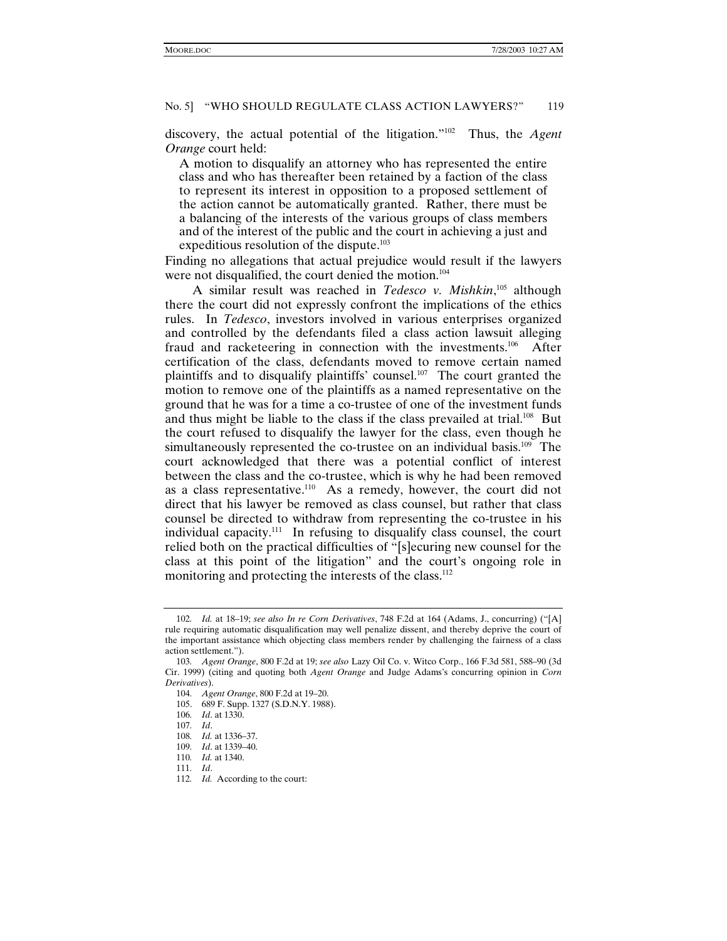discovery, the actual potential of the litigation."102 Thus, the *Agent Orange* court held:

A motion to disqualify an attorney who has represented the entire class and who has thereafter been retained by a faction of the class to represent its interest in opposition to a proposed settlement of the action cannot be automatically granted. Rather, there must be a balancing of the interests of the various groups of class members and of the interest of the public and the court in achieving a just and expeditious resolution of the dispute.<sup>103</sup>

Finding no allegations that actual prejudice would result if the lawyers were not disqualified, the court denied the motion.<sup>104</sup>

A similar result was reached in *Tedesco v. Mishkin*, 105 although there the court did not expressly confront the implications of the ethics rules. In *Tedesco*, investors involved in various enterprises organized and controlled by the defendants filed a class action lawsuit alleging fraud and racketeering in connection with the investments.<sup>106</sup> After certification of the class, defendants moved to remove certain named plaintiffs and to disqualify plaintiffs' counsel.<sup>107</sup> The court granted the motion to remove one of the plaintiffs as a named representative on the ground that he was for a time a co-trustee of one of the investment funds and thus might be liable to the class if the class prevailed at trial.<sup>108</sup> But the court refused to disqualify the lawyer for the class, even though he simultaneously represented the co-trustee on an individual basis.<sup>109</sup> The court acknowledged that there was a potential conflict of interest between the class and the co-trustee, which is why he had been removed as a class representative.110 As a remedy, however, the court did not direct that his lawyer be removed as class counsel, but rather that class counsel be directed to withdraw from representing the co-trustee in his individual capacity.<sup>111</sup> In refusing to disqualify class counsel, the court relied both on the practical difficulties of "[s]ecuring new counsel for the class at this point of the litigation" and the court's ongoing role in monitoring and protecting the interests of the class.<sup>112</sup>

<sup>102</sup>*. Id.* at 18–19; *see also In re Corn Derivatives*, 748 F.2d at 164 (Adams, J., concurring) ("[A] rule requiring automatic disqualification may well penalize dissent, and thereby deprive the court of the important assistance which objecting class members render by challenging the fairness of a class action settlement.").

<sup>103</sup>*. Agent Orange*, 800 F.2d at 19; *see also* Lazy Oil Co. v. Witco Corp., 166 F.3d 581, 588–90 (3d Cir. 1999) (citing and quoting both *Agent Orange* and Judge Adams's concurring opinion in *Corn Derivatives*).

<sup>104</sup>*. Agent Orange*, 800 F.2d at 19–20.

 <sup>105. 689</sup> F. Supp. 1327 (S.D.N.Y. 1988).

<sup>106</sup>*. Id*. at 1330.

<sup>107</sup>*. Id*.

<sup>108</sup>*. Id.* at 1336–37.

<sup>109</sup>*. Id*. at 1339–40.

<sup>110</sup>*. Id.* at 1340.

<sup>111</sup>*. Id*.

<sup>112</sup>*. Id.* According to the court: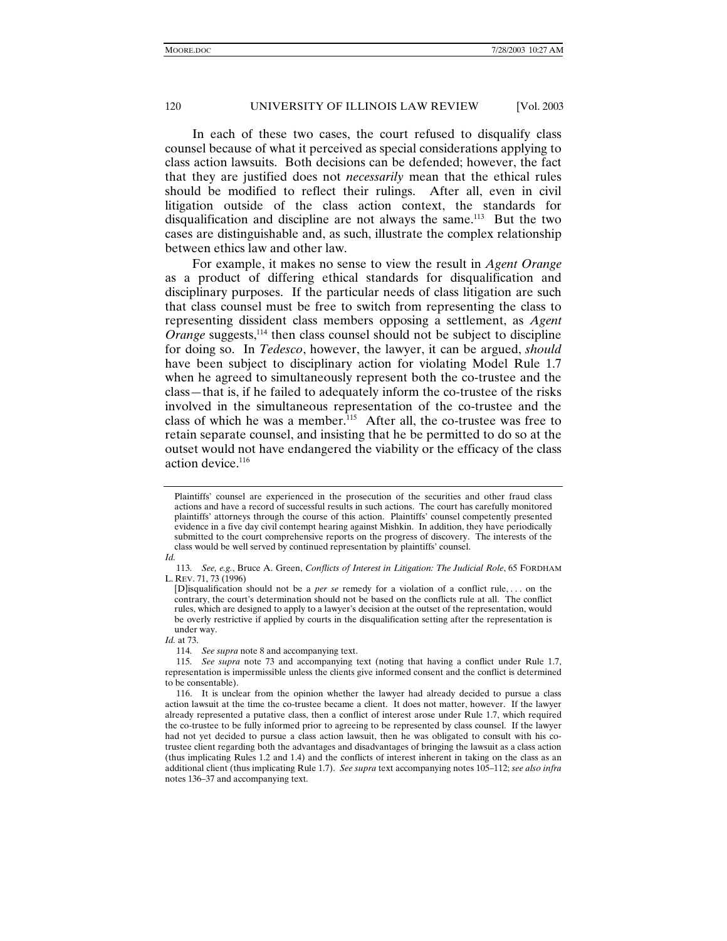In each of these two cases, the court refused to disqualify class counsel because of what it perceived as special considerations applying to class action lawsuits. Both decisions can be defended; however, the fact that they are justified does not *necessarily* mean that the ethical rules should be modified to reflect their rulings. After all, even in civil litigation outside of the class action context, the standards for disqualification and discipline are not always the same.113 But the two cases are distinguishable and, as such, illustrate the complex relationship between ethics law and other law.

For example, it makes no sense to view the result in *Agent Orange* as a product of differing ethical standards for disqualification and disciplinary purposes. If the particular needs of class litigation are such that class counsel must be free to switch from representing the class to representing dissident class members opposing a settlement, as *Agent Orange* suggests,<sup>114</sup> then class counsel should not be subject to discipline for doing so. In *Tedesco*, however, the lawyer, it can be argued, *should* have been subject to disciplinary action for violating Model Rule 1.7 when he agreed to simultaneously represent both the co-trustee and the class—that is, if he failed to adequately inform the co-trustee of the risks involved in the simultaneous representation of the co-trustee and the class of which he was a member.<sup>115</sup> After all, the co-trustee was free to retain separate counsel, and insisting that he be permitted to do so at the outset would not have endangered the viability or the efficacy of the class action device.<sup>116</sup>

*Id.* at 73.

Plaintiffs' counsel are experienced in the prosecution of the securities and other fraud class actions and have a record of successful results in such actions. The court has carefully monitored plaintiffs' attorneys through the course of this action. Plaintiffs' counsel competently presented evidence in a five day civil contempt hearing against Mishkin. In addition, they have periodically submitted to the court comprehensive reports on the progress of discovery. The interests of the class would be well served by continued representation by plaintiffs' counsel.

*Id.*

<sup>113</sup>*. See, e.g.*, Bruce A. Green, *Conflicts of Interest in Litigation: The Judicial Role*, 65 FORDHAM L. REV. 71, 73 (1996)

<sup>[</sup>D]isqualification should not be a *per se* remedy for a violation of a conflict rule, . . . on the contrary, the court's determination should not be based on the conflicts rule at all. The conflict rules, which are designed to apply to a lawyer's decision at the outset of the representation, would be overly restrictive if applied by courts in the disqualification setting after the representation is under way.

<sup>114</sup>*. See supra* note 8 and accompanying text.

<sup>115</sup>*. See supra* note 73 and accompanying text (noting that having a conflict under Rule 1.7, representation is impermissible unless the clients give informed consent and the conflict is determined to be consentable).

 <sup>116.</sup> It is unclear from the opinion whether the lawyer had already decided to pursue a class action lawsuit at the time the co-trustee became a client. It does not matter, however. If the lawyer already represented a putative class, then a conflict of interest arose under Rule 1.7, which required the co-trustee to be fully informed prior to agreeing to be represented by class counsel. If the lawyer had not yet decided to pursue a class action lawsuit, then he was obligated to consult with his cotrustee client regarding both the advantages and disadvantages of bringing the lawsuit as a class action (thus implicating Rules 1.2 and 1.4) and the conflicts of interest inherent in taking on the class as an additional client (thus implicating Rule 1.7). *See supra* text accompanying notes 105–112; *see also infra* notes 136–37 and accompanying text.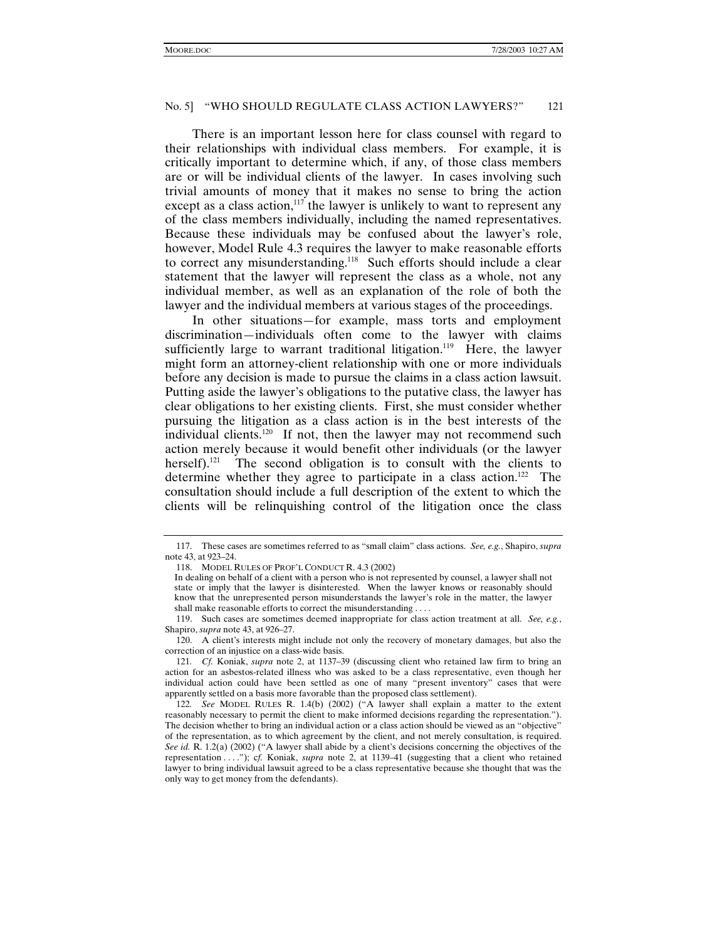There is an important lesson here for class counsel with regard to their relationships with individual class members. For example, it is critically important to determine which, if any, of those class members are or will be individual clients of the lawyer. In cases involving such trivial amounts of money that it makes no sense to bring the action except as a class action, $117$  the lawyer is unlikely to want to represent any of the class members individually, including the named representatives. Because these individuals may be confused about the lawyer's role, however, Model Rule 4.3 requires the lawyer to make reasonable efforts to correct any misunderstanding.118 Such efforts should include a clear statement that the lawyer will represent the class as a whole, not any individual member, as well as an explanation of the role of both the lawyer and the individual members at various stages of the proceedings.

In other situations—for example, mass torts and employment discrimination—individuals often come to the lawyer with claims sufficiently large to warrant traditional litigation.<sup>119</sup> Here, the lawyer might form an attorney-client relationship with one or more individuals before any decision is made to pursue the claims in a class action lawsuit. Putting aside the lawyer's obligations to the putative class, the lawyer has clear obligations to her existing clients. First, she must consider whether pursuing the litigation as a class action is in the best interests of the individual clients.<sup>120</sup> If not, then the lawyer may not recommend such action merely because it would benefit other individuals (or the lawyer herself).<sup>121</sup> The second obligation is to consult with the clients to determine whether they agree to participate in a class action.<sup>122</sup> The consultation should include a full description of the extent to which the clients will be relinquishing control of the litigation once the class

 <sup>117.</sup> These cases are sometimes referred to as "small claim" class actions. *See, e.g.*, Shapiro, *supra* note 43, at 923–24.

 <sup>118.</sup> MODEL RULES OF PROF'L CONDUCT R. 4.3 (2002)

In dealing on behalf of a client with a person who is not represented by counsel, a lawyer shall not state or imply that the lawyer is disinterested. When the lawyer knows or reasonably should know that the unrepresented person misunderstands the lawyer's role in the matter, the lawyer shall make reasonable efforts to correct the misunderstanding . . . .

 <sup>119.</sup> Such cases are sometimes deemed inappropriate for class action treatment at all. *See, e.g.*, Shapiro, *supra* note 43, at 926–27.

 <sup>120.</sup> A client's interests might include not only the recovery of monetary damages, but also the correction of an injustice on a class-wide basis.

<sup>121</sup>*. Cf.* Koniak, *supra* note 2, at 1137–39 (discussing client who retained law firm to bring an action for an asbestos-related illness who was asked to be a class representative, even though her individual action could have been settled as one of many "present inventory" cases that were apparently settled on a basis more favorable than the proposed class settlement).

<sup>122</sup>*. See* MODEL RULES R. 1.4(b) (2002) ("A lawyer shall explain a matter to the extent reasonably necessary to permit the client to make informed decisions regarding the representation."). The decision whether to bring an individual action or a class action should be viewed as an "objective" of the representation, as to which agreement by the client, and not merely consultation, is required. *See id.* R. 1.2(a) (2002) ("A lawyer shall abide by a client's decisions concerning the objectives of the representation . . . ."); c*f.* Koniak, *supra* note 2, at 1139–41 (suggesting that a client who retained lawyer to bring individual lawsuit agreed to be a class representative because she thought that was the only way to get money from the defendants).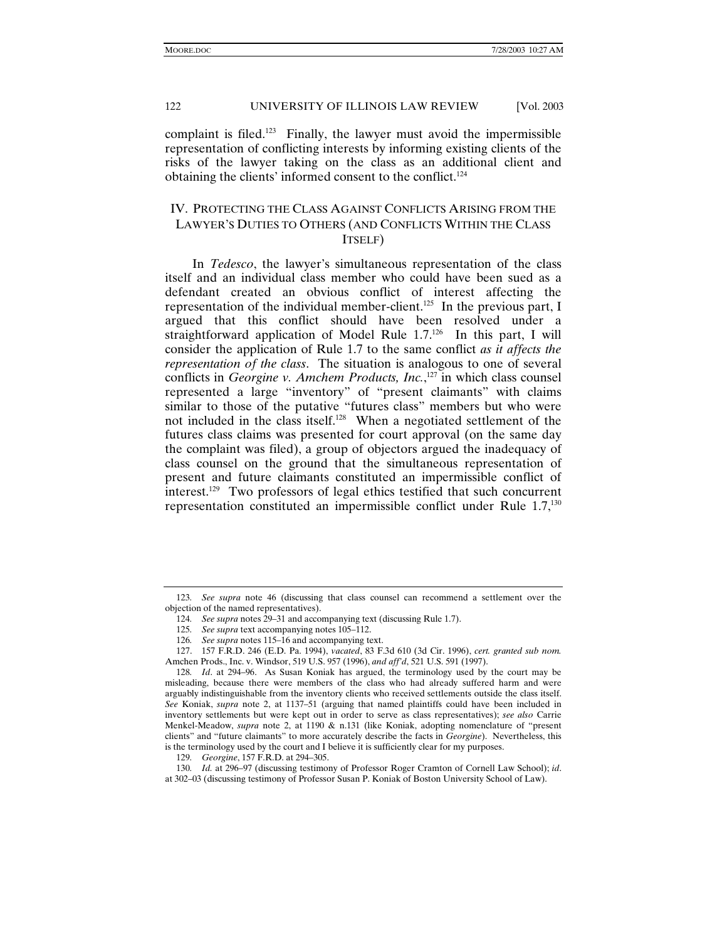complaint is filed.<sup>123</sup> Finally, the lawyer must avoid the impermissible representation of conflicting interests by informing existing clients of the risks of the lawyer taking on the class as an additional client and obtaining the clients' informed consent to the conflict.124

#### IV. PROTECTING THE CLASS AGAINST CONFLICTS ARISING FROM THE LAWYER'S DUTIES TO OTHERS (AND CONFLICTS WITHIN THE CLASS ITSELF)

In *Tedesco*, the lawyer's simultaneous representation of the class itself and an individual class member who could have been sued as a defendant created an obvious conflict of interest affecting the representation of the individual member-client.125 In the previous part, I argued that this conflict should have been resolved under a straightforward application of Model Rule 1.7.<sup>126</sup> In this part, I will consider the application of Rule 1.7 to the same conflict *as it affects the representation of the class*. The situation is analogous to one of several conflicts in *Georgine v. Amchem Products, Inc.*,<sup>127</sup> in which class counsel represented a large "inventory" of "present claimants" with claims similar to those of the putative "futures class" members but who were not included in the class itself.128 When a negotiated settlement of the futures class claims was presented for court approval (on the same day the complaint was filed), a group of objectors argued the inadequacy of class counsel on the ground that the simultaneous representation of present and future claimants constituted an impermissible conflict of interest.129 Two professors of legal ethics testified that such concurrent representation constituted an impermissible conflict under Rule  $1.7$ ,<sup>130</sup>

<sup>123</sup>*. See supra* note 46 (discussing that class counsel can recommend a settlement over the objection of the named representatives).

<sup>124</sup>*. See supra* notes 29–31 and accompanying text (discussing Rule 1.7).

<sup>125</sup>*. See supra* text accompanying notes 105–112.

<sup>126</sup>*. See supra* notes 115–16 and accompanying text.

 <sup>127. 157</sup> F.R.D. 246 (E.D. Pa. 1994), *vacated*, 83 F.3d 610 (3d Cir. 1996), *cert. granted sub nom.* Amchen Prods., Inc. v. Windsor, 519 U.S. 957 (1996), *and aff'd*, 521 U.S. 591 (1997).

<sup>128</sup>*. Id*. at 294–96. As Susan Koniak has argued, the terminology used by the court may be misleading, because there were members of the class who had already suffered harm and were arguably indistinguishable from the inventory clients who received settlements outside the class itself. *See* Koniak, *supra* note 2, at 1137–51 (arguing that named plaintiffs could have been included in inventory settlements but were kept out in order to serve as class representatives); *see also* Carrie Menkel-Meadow, *supra* note 2, at 1190 & n.131 (like Koniak, adopting nomenclature of "present clients" and "future claimants" to more accurately describe the facts in *Georgine*). Nevertheless, this is the terminology used by the court and I believe it is sufficiently clear for my purposes.

<sup>129</sup>*. Georgine*, 157 F.R.D. at 294–305.

<sup>130</sup>*. Id.* at 296–97 (discussing testimony of Professor Roger Cramton of Cornell Law School); *id*. at 302–03 (discussing testimony of Professor Susan P. Koniak of Boston University School of Law).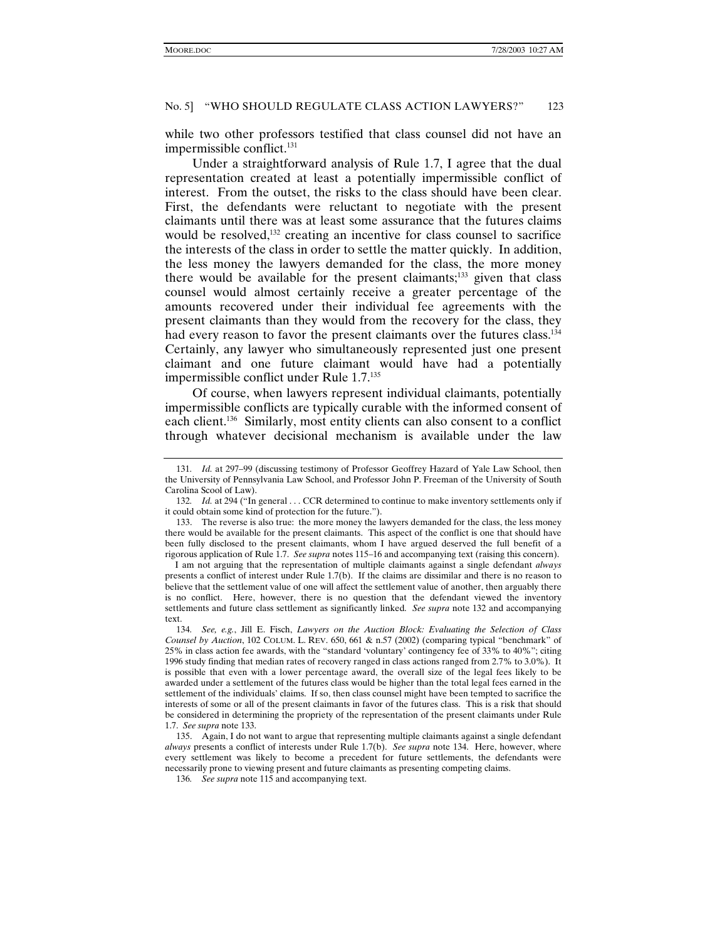while two other professors testified that class counsel did not have an impermissible conflict.131

Under a straightforward analysis of Rule 1.7, I agree that the dual representation created at least a potentially impermissible conflict of interest. From the outset, the risks to the class should have been clear. First, the defendants were reluctant to negotiate with the present claimants until there was at least some assurance that the futures claims would be resolved,<sup>132</sup> creating an incentive for class counsel to sacrifice the interests of the class in order to settle the matter quickly. In addition, the less money the lawyers demanded for the class, the more money there would be available for the present claimants; $133$  given that class counsel would almost certainly receive a greater percentage of the amounts recovered under their individual fee agreements with the present claimants than they would from the recovery for the class, they had every reason to favor the present claimants over the futures class.<sup>134</sup> Certainly, any lawyer who simultaneously represented just one present claimant and one future claimant would have had a potentially impermissible conflict under Rule 1.7.135

Of course, when lawyers represent individual claimants, potentially impermissible conflicts are typically curable with the informed consent of each client.<sup>136</sup> Similarly, most entity clients can also consent to a conflict through whatever decisional mechanism is available under the law

<sup>131</sup>*. Id.* at 297–99 (discussing testimony of Professor Geoffrey Hazard of Yale Law School, then the University of Pennsylvania Law School, and Professor John P. Freeman of the University of South Carolina Scool of Law).

<sup>132</sup>*. Id.* at 294 ("In general . . . CCR determined to continue to make inventory settlements only if it could obtain some kind of protection for the future.").

 <sup>133.</sup> The reverse is also true: the more money the lawyers demanded for the class, the less money there would be available for the present claimants. This aspect of the conflict is one that should have been fully disclosed to the present claimants, whom I have argued deserved the full benefit of a rigorous application of Rule 1.7. *See supra* notes 115–16 and accompanying text (raising this concern).

I am not arguing that the representation of multiple claimants against a single defendant *always* presents a conflict of interest under Rule 1.7(b). If the claims are dissimilar and there is no reason to believe that the settlement value of one will affect the settlement value of another, then arguably there is no conflict. Here, however, there is no question that the defendant viewed the inventory settlements and future class settlement as significantly linked. *See supra* note 132 and accompanying text.

<sup>134</sup>*. See, e.g.*, Jill E. Fisch, *Lawyers on the Auction Block: Evaluating the Selection of Class Counsel by Auction*, 102 COLUM. L. REV. 650, 661 & n.57 (2002) (comparing typical "benchmark" of 25% in class action fee awards, with the "standard 'voluntary' contingency fee of 33% to 40%"; citing 1996 study finding that median rates of recovery ranged in class actions ranged from 2.7% to 3.0%). It is possible that even with a lower percentage award, the overall size of the legal fees likely to be awarded under a settlement of the futures class would be higher than the total legal fees earned in the settlement of the individuals' claims. If so, then class counsel might have been tempted to sacrifice the interests of some or all of the present claimants in favor of the futures class. This is a risk that should be considered in determining the propriety of the representation of the present claimants under Rule 1.7. *See supra* note 133.

 <sup>135.</sup> Again, I do not want to argue that representing multiple claimants against a single defendant *always* presents a conflict of interests under Rule 1.7(b). *See supra* note 134. Here, however, where every settlement was likely to become a precedent for future settlements, the defendants were necessarily prone to viewing present and future claimants as presenting competing claims.

<sup>136</sup>*. See supra* note 115 and accompanying text.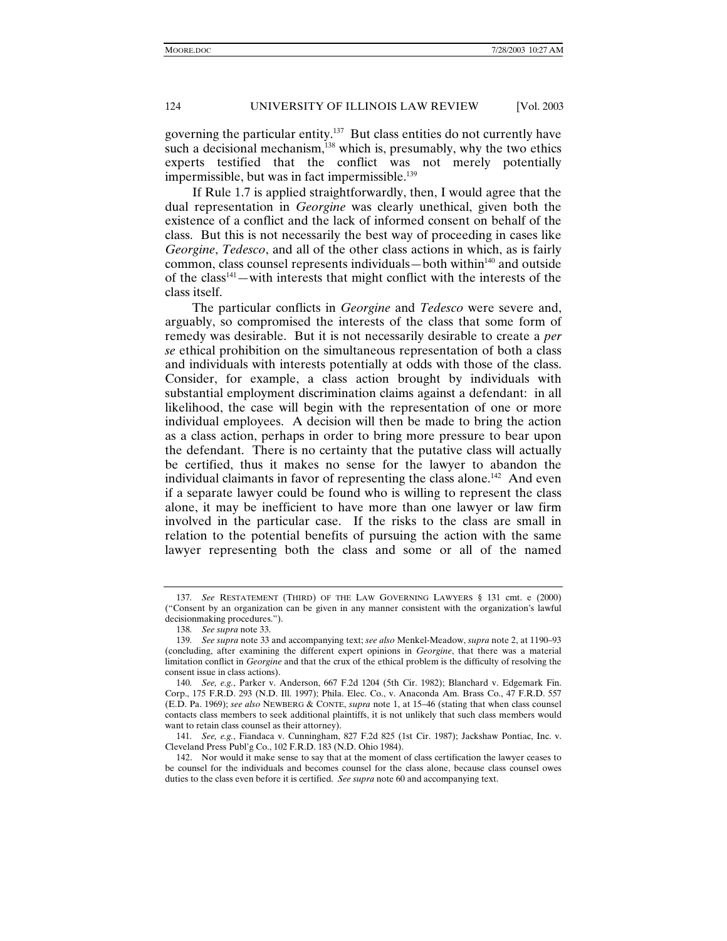governing the particular entity.137 But class entities do not currently have such a decisional mechanism, $138$  which is, presumably, why the two ethics experts testified that the conflict was not merely potentially impermissible, but was in fact impermissible.<sup>139</sup>

If Rule 1.7 is applied straightforwardly, then, I would agree that the dual representation in *Georgine* was clearly unethical, given both the existence of a conflict and the lack of informed consent on behalf of the class. But this is not necessarily the best way of proceeding in cases like *Georgine*, *Tedesco*, and all of the other class actions in which, as is fairly common, class counsel represents individuals—both within<sup>140</sup> and outside of the class<sup>141</sup> — with interests that might conflict with the interests of the class itself.

The particular conflicts in *Georgine* and *Tedesco* were severe and, arguably, so compromised the interests of the class that some form of remedy was desirable. But it is not necessarily desirable to create a *per se* ethical prohibition on the simultaneous representation of both a class and individuals with interests potentially at odds with those of the class. Consider, for example, a class action brought by individuals with substantial employment discrimination claims against a defendant: in all likelihood, the case will begin with the representation of one or more individual employees. A decision will then be made to bring the action as a class action, perhaps in order to bring more pressure to bear upon the defendant. There is no certainty that the putative class will actually be certified, thus it makes no sense for the lawyer to abandon the individual claimants in favor of representing the class alone.<sup>142</sup> And even if a separate lawyer could be found who is willing to represent the class alone, it may be inefficient to have more than one lawyer or law firm involved in the particular case. If the risks to the class are small in relation to the potential benefits of pursuing the action with the same lawyer representing both the class and some or all of the named

<sup>137</sup>*. See* RESTATEMENT (THIRD) OF THE LAW GOVERNING LAWYERS § 131 cmt. e (2000) ("Consent by an organization can be given in any manner consistent with the organization's lawful decisionmaking procedures.").

<sup>138</sup>*. See supra* note 33.

<sup>139</sup>*. See supra* note 33 and accompanying text; *see also* Menkel-Meadow, *supra* note 2, at 1190–93 (concluding, after examining the different expert opinions in *Georgine*, that there was a material limitation conflict in *Georgine* and that the crux of the ethical problem is the difficulty of resolving the consent issue in class actions).

<sup>140</sup>*. See, e.g.*, Parker v. Anderson, 667 F.2d 1204 (5th Cir. 1982); Blanchard v. Edgemark Fin. Corp., 175 F.R.D. 293 (N.D. Ill. 1997); Phila. Elec. Co., v. Anaconda Am. Brass Co., 47 F.R.D. 557 (E.D. Pa. 1969); *see also* NEWBERG & CONTE, *supra* note 1, at 15–46 (stating that when class counsel contacts class members to seek additional plaintiffs, it is not unlikely that such class members would want to retain class counsel as their attorney).

<sup>141</sup>*. See, e.g.*, Fiandaca v. Cunningham, 827 F.2d 825 (1st Cir. 1987); Jackshaw Pontiac, Inc. v. Cleveland Press Publ'g Co., 102 F.R.D. 183 (N.D. Ohio 1984).

 <sup>142.</sup> Nor would it make sense to say that at the moment of class certification the lawyer ceases to be counsel for the individuals and becomes counsel for the class alone, because class counsel owes duties to the class even before it is certified. *See supra* note 60 and accompanying text.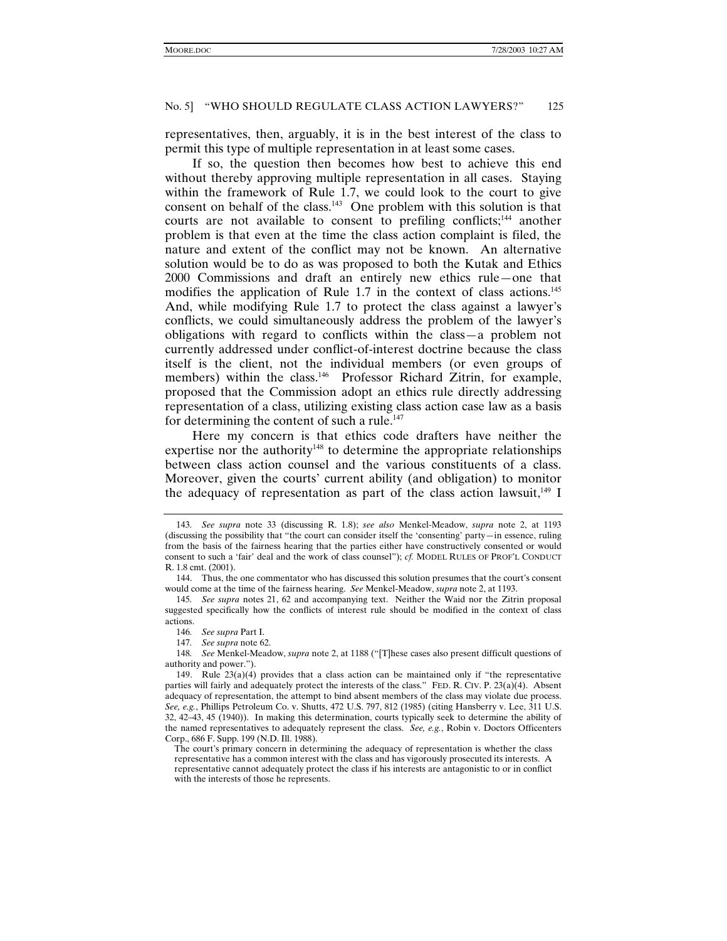representatives, then, arguably, it is in the best interest of the class to permit this type of multiple representation in at least some cases.

If so, the question then becomes how best to achieve this end without thereby approving multiple representation in all cases. Staying within the framework of Rule 1.7, we could look to the court to give consent on behalf of the class.<sup>143</sup> One problem with this solution is that courts are not available to consent to prefiling conflicts;<sup>144</sup> another problem is that even at the time the class action complaint is filed, the nature and extent of the conflict may not be known. An alternative solution would be to do as was proposed to both the Kutak and Ethics 2000 Commissions and draft an entirely new ethics rule—one that modifies the application of Rule 1.7 in the context of class actions.<sup>145</sup> And, while modifying Rule 1.7 to protect the class against a lawyer's conflicts, we could simultaneously address the problem of the lawyer's obligations with regard to conflicts within the class—a problem not currently addressed under conflict-of-interest doctrine because the class itself is the client, not the individual members (or even groups of members) within the class.<sup>146</sup> Professor Richard Zitrin, for example, proposed that the Commission adopt an ethics rule directly addressing representation of a class, utilizing existing class action case law as a basis for determining the content of such a rule.<sup>147</sup>

Here my concern is that ethics code drafters have neither the expertise nor the authority<sup>148</sup> to determine the appropriate relationships between class action counsel and the various constituents of a class. Moreover, given the courts' current ability (and obligation) to monitor the adequacy of representation as part of the class action lawsuit, $149$  I

147*. See supra* note 62.

<sup>143</sup>*. See supra* note 33 (discussing R. 1.8); *see also* Menkel-Meadow, *supra* note 2, at 1193 (discussing the possibility that "the court can consider itself the 'consenting' party—in essence, ruling from the basis of the fairness hearing that the parties either have constructively consented or would consent to such a 'fair' deal and the work of class counsel"); *cf.* MODEL RULES OF PROF'L CONDUCT R. 1.8 cmt. (2001).

 <sup>144.</sup> Thus, the one commentator who has discussed this solution presumes that the court's consent would come at the time of the fairness hearing. *See* Menkel-Meadow, *supra* note 2, at 1193.

<sup>145</sup>*. See supra* notes 21, 62 and accompanying text. Neither the Waid nor the Zitrin proposal suggested specifically how the conflicts of interest rule should be modified in the context of class actions.

<sup>146</sup>*. See supra* Part I.

<sup>148</sup>*. See* Menkel-Meadow, *supra* note 2, at 1188 ("[T]hese cases also present difficult questions of authority and power.").

<sup>149.</sup> Rule  $23(a)(4)$  provides that a class action can be maintained only if "the representative" parties will fairly and adequately protect the interests of the class." FED. R. CIV. P. 23(a)(4). Absent adequacy of representation, the attempt to bind absent members of the class may violate due process. *See, e.g.*, Phillips Petroleum Co. v. Shutts, 472 U.S. 797, 812 (1985) (citing Hansberry v. Lee, 311 U.S. 32, 42–43, 45 (1940)). In making this determination, courts typically seek to determine the ability of the named representatives to adequately represent the class. *See, e.g.*, Robin v. Doctors Officenters Corp., 686 F. Supp. 199 (N.D. Ill. 1988).

The court's primary concern in determining the adequacy of representation is whether the class representative has a common interest with the class and has vigorously prosecuted its interests. A representative cannot adequately protect the class if his interests are antagonistic to or in conflict with the interests of those he represents.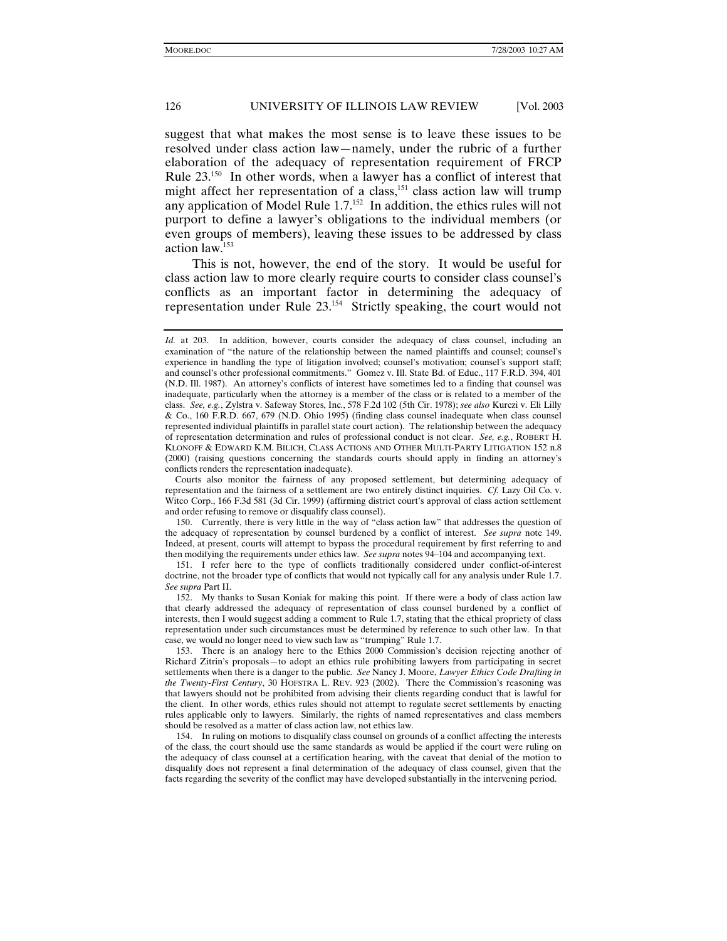suggest that what makes the most sense is to leave these issues to be resolved under class action law—namely, under the rubric of a further elaboration of the adequacy of representation requirement of FRCP Rule 23.150 In other words, when a lawyer has a conflict of interest that might affect her representation of a class,<sup>151</sup> class action law will trump any application of Model Rule 1.7.152 In addition, the ethics rules will not purport to define a lawyer's obligations to the individual members (or even groups of members), leaving these issues to be addressed by class action law.153

This is not, however, the end of the story. It would be useful for class action law to more clearly require courts to consider class counsel's conflicts as an important factor in determining the adequacy of representation under Rule 23.154 Strictly speaking, the court would not

*Id.* at 203. In addition, however, courts consider the adequacy of class counsel, including an examination of "the nature of the relationship between the named plaintiffs and counsel; counsel's experience in handling the type of litigation involved; counsel's motivation; counsel's support staff; and counsel's other professional commitments." Gomez v. Ill. State Bd. of Educ., 117 F.R.D. 394, 401 (N.D. Ill. 1987). An attorney's conflicts of interest have sometimes led to a finding that counsel was inadequate, particularly when the attorney is a member of the class or is related to a member of the class. *See, e.g.*, Zylstra v. Safeway Stores, Inc., 578 F.2d 102 (5th Cir. 1978); *see also* Kurczi v. Eli Lilly & Co., 160 F.R.D. 667, 679 (N.D. Ohio 1995) (finding class counsel inadequate when class counsel represented individual plaintiffs in parallel state court action). The relationship between the adequacy of representation determination and rules of professional conduct is not clear. *See, e.g.*, ROBERT H. KLONOFF & EDWARD K.M. BILICH, CLASS ACTIONS AND OTHER MULTI-PARTY LITIGATION 152 n.8 (2000) (raising questions concerning the standards courts should apply in finding an attorney's conflicts renders the representation inadequate).

Courts also monitor the fairness of any proposed settlement, but determining adequacy of representation and the fairness of a settlement are two entirely distinct inquiries. *Cf.* Lazy Oil Co. v. Witco Corp., 166 F.3d 581 (3d Cir. 1999) (affirming district court's approval of class action settlement and order refusing to remove or disqualify class counsel).

 <sup>150.</sup> Currently, there is very little in the way of "class action law" that addresses the question of the adequacy of representation by counsel burdened by a conflict of interest. *See supra* note 149. Indeed, at present, courts will attempt to bypass the procedural requirement by first referring to and then modifying the requirements under ethics law. *See supra* notes 94–104 and accompanying text.

 <sup>151.</sup> I refer here to the type of conflicts traditionally considered under conflict-of-interest doctrine, not the broader type of conflicts that would not typically call for any analysis under Rule 1.7. *See supra* Part II.

 <sup>152.</sup> My thanks to Susan Koniak for making this point. If there were a body of class action law that clearly addressed the adequacy of representation of class counsel burdened by a conflict of interests, then I would suggest adding a comment to Rule 1.7, stating that the ethical propriety of class representation under such circumstances must be determined by reference to such other law. In that case, we would no longer need to view such law as "trumping" Rule 1.7.

 <sup>153.</sup> There is an analogy here to the Ethics 2000 Commission's decision rejecting another of Richard Zitrin's proposals—to adopt an ethics rule prohibiting lawyers from participating in secret settlements when there is a danger to the public. *See* Nancy J. Moore, *Lawyer Ethics Code Drafting in the Twenty-First Century*, 30 HOFSTRA L. REV. 923 (2002). There the Commission's reasoning was that lawyers should not be prohibited from advising their clients regarding conduct that is lawful for the client. In other words, ethics rules should not attempt to regulate secret settlements by enacting rules applicable only to lawyers. Similarly, the rights of named representatives and class members should be resolved as a matter of class action law, not ethics law.

 <sup>154.</sup> In ruling on motions to disqualify class counsel on grounds of a conflict affecting the interests of the class, the court should use the same standards as would be applied if the court were ruling on the adequacy of class counsel at a certification hearing, with the caveat that denial of the motion to disqualify does not represent a final determination of the adequacy of class counsel, given that the facts regarding the severity of the conflict may have developed substantially in the intervening period.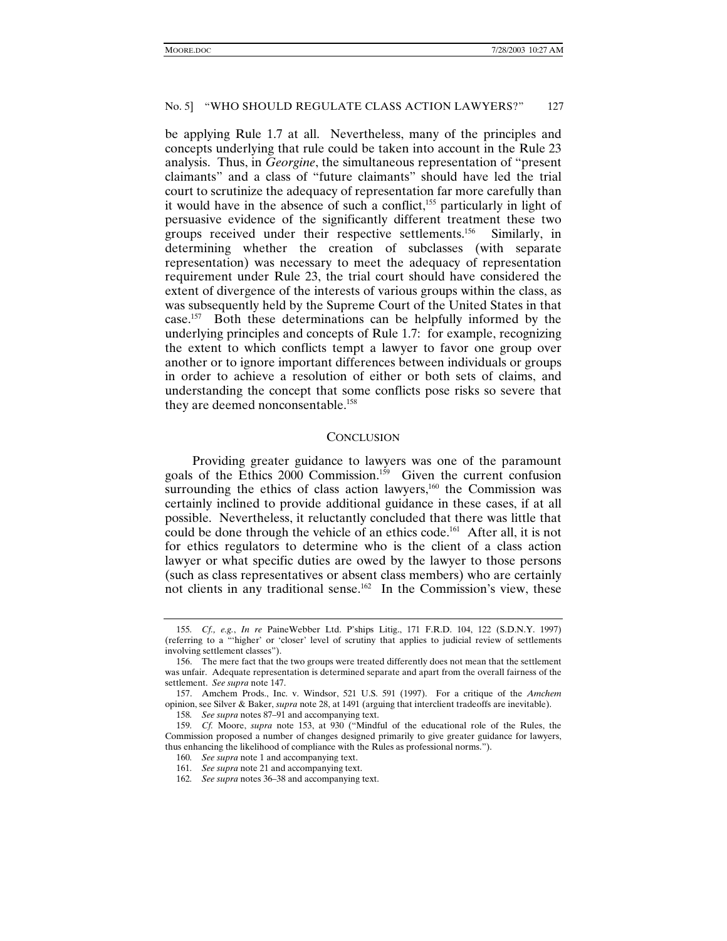be applying Rule 1.7 at all. Nevertheless, many of the principles and concepts underlying that rule could be taken into account in the Rule 23 analysis. Thus, in *Georgine*, the simultaneous representation of "present claimants" and a class of "future claimants" should have led the trial court to scrutinize the adequacy of representation far more carefully than it would have in the absence of such a conflict,155 particularly in light of persuasive evidence of the significantly different treatment these two groups received under their respective settlements.156 Similarly, in determining whether the creation of subclasses (with separate representation) was necessary to meet the adequacy of representation requirement under Rule 23, the trial court should have considered the extent of divergence of the interests of various groups within the class, as was subsequently held by the Supreme Court of the United States in that case.157 Both these determinations can be helpfully informed by the underlying principles and concepts of Rule 1.7: for example, recognizing the extent to which conflicts tempt a lawyer to favor one group over another or to ignore important differences between individuals or groups in order to achieve a resolution of either or both sets of claims, and understanding the concept that some conflicts pose risks so severe that they are deemed nonconsentable.<sup>158</sup>

#### **CONCLUSION**

Providing greater guidance to lawyers was one of the paramount goals of the Ethics  $2000$  Commission.<sup>159</sup> Given the current confusion surrounding the ethics of class action lawyers,<sup>160</sup> the Commission was certainly inclined to provide additional guidance in these cases, if at all possible. Nevertheless, it reluctantly concluded that there was little that could be done through the vehicle of an ethics code.<sup>161</sup> After all, it is not for ethics regulators to determine who is the client of a class action lawyer or what specific duties are owed by the lawyer to those persons (such as class representatives or absent class members) who are certainly not clients in any traditional sense.<sup>162</sup> In the Commission's view, these

<sup>155</sup>*. Cf., e.g.*, *In re* PaineWebber Ltd. P'ships Litig., 171 F.R.D. 104, 122 (S.D.N.Y. 1997) (referring to a "'higher' or 'closer' level of scrutiny that applies to judicial review of settlements involving settlement classes").

 <sup>156.</sup> The mere fact that the two groups were treated differently does not mean that the settlement was unfair. Adequate representation is determined separate and apart from the overall fairness of the settlement. *See supra* note 147.

 <sup>157.</sup> Amchem Prods., Inc. v. Windsor, 521 U.S. 591 (1997). For a critique of the *Amchem* opinion, see Silver & Baker, *supra* note 28, at 1491 (arguing that interclient tradeoffs are inevitable).

<sup>158</sup>*. See supra* notes 87–91 and accompanying text.

<sup>159</sup>*. Cf.* Moore, *supra* note 153, at 930 ("Mindful of the educational role of the Rules, the Commission proposed a number of changes designed primarily to give greater guidance for lawyers, thus enhancing the likelihood of compliance with the Rules as professional norms.").

<sup>160</sup>*. See supra* note 1 and accompanying text.

<sup>161</sup>*. See supra* note 21 and accompanying text.

<sup>162</sup>*. See supra* notes 36–38 and accompanying text.